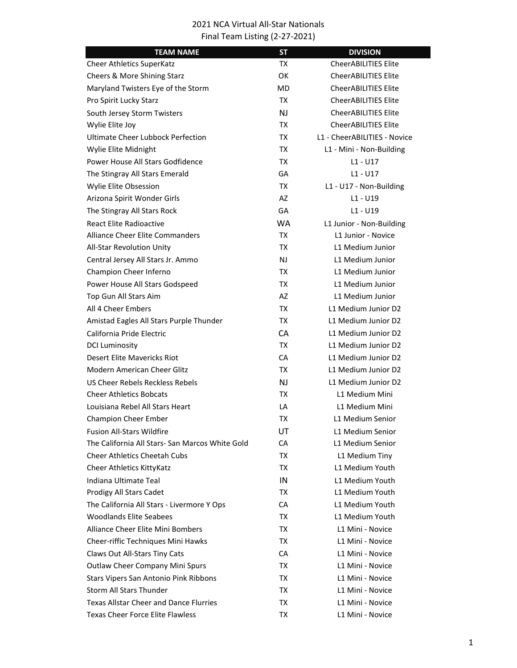| <b>TEAM NAME</b>                                | <b>ST</b> | <b>DIVISION</b>              |
|-------------------------------------------------|-----------|------------------------------|
| <b>Cheer Athletics SuperKatz</b>                | TX        | <b>CheerABILITIES Elite</b>  |
| Cheers & More Shining Starz                     | OK        | <b>CheerABILITIES Elite</b>  |
| Maryland Twisters Eye of the Storm              | <b>MD</b> | <b>CheerABILITIES Elite</b>  |
| Pro Spirit Lucky Starz                          | TX        | <b>CheerABILITIES Elite</b>  |
| South Jersey Storm Twisters                     | <b>NJ</b> | <b>CheerABILITIES Elite</b>  |
| Wylie Elite Joy                                 | TX.       | <b>CheerABILITIES Elite</b>  |
| <b>Ultimate Cheer Lubbock Perfection</b>        | TX        | L1 - CheerABILITIES - Novice |
| Wylie Elite Midnight                            | TX        | L1 - Mini - Non-Building     |
| Power House All Stars Godfidence                | <b>TX</b> | $L1 - U17$                   |
| The Stingray All Stars Emerald                  | GA        | L1 - U17                     |
| Wylie Elite Obsession                           | <b>TX</b> | L1 - U17 - Non-Building      |
| Arizona Spirit Wonder Girls                     | AZ        | L1 - U19                     |
| The Stingray All Stars Rock                     | GA        | L1 - U19                     |
| <b>React Elite Radioactive</b>                  | <b>WA</b> | L1 Junior - Non-Building     |
| Alliance Cheer Elite Commanders                 | TX        | L1 Junior - Novice           |
| All-Star Revolution Unity                       | <b>TX</b> | L1 Medium Junior             |
| Central Jersey All Stars Jr. Ammo               | <b>NJ</b> | L1 Medium Junior             |
| Champion Cheer Inferno                          | TX        | L1 Medium Junior             |
| Power House All Stars Godspeed                  | TX        | L1 Medium Junior             |
| Top Gun All Stars Aim                           | AZ        | L1 Medium Junior             |
| All 4 Cheer Embers                              | TX        | L1 Medium Junior D2          |
| Amistad Eagles All Stars Purple Thunder         | TX        | L1 Medium Junior D2          |
| California Pride Electric                       | <b>CA</b> | L1 Medium Junior D2          |
| <b>DCI Luminosity</b>                           | <b>TX</b> | L1 Medium Junior D2          |
| Desert Elite Mavericks Riot                     | CA        | L1 Medium Junior D2          |
| Modern American Cheer Glitz                     | TX        | L1 Medium Junior D2          |
| US Cheer Rebels Reckless Rebels                 | <b>NJ</b> | L1 Medium Junior D2          |
| <b>Cheer Athletics Bobcats</b>                  | TX        | L1 Medium Mini               |
| Louisiana Rebel All Stars Heart                 | LA        | L1 Medium Mini               |
| <b>Champion Cheer Ember</b>                     | ТX        | L1 Medium Senior             |
| <b>Fusion All-Stars Wildfire</b>                | UT        | L1 Medium Senior             |
| The California All Stars- San Marcos White Gold | CA        | L1 Medium Senior             |
| <b>Cheer Athletics Cheetah Cubs</b>             | TX        | L1 Medium Tiny               |
| Cheer Athletics KittyKatz                       | TX        | L1 Medium Youth              |
| Indiana Ultimate Teal                           | IN        | L1 Medium Youth              |
| Prodigy All Stars Cadet                         | TX        | L1 Medium Youth              |
| The California All Stars - Livermore Y Ops      | CA        | L1 Medium Youth              |
| <b>Woodlands Elite Seabees</b>                  | TX        | L1 Medium Youth              |
| <b>Alliance Cheer Elite Mini Bombers</b>        | TX        | L1 Mini - Novice             |
| Cheer-riffic Techniques Mini Hawks              | TX        | L1 Mini - Novice             |
| Claws Out All-Stars Tiny Cats                   | CA        | L1 Mini - Novice             |
| Outlaw Cheer Company Mini Spurs                 | TX        | L1 Mini - Novice             |
| Stars Vipers San Antonio Pink Ribbons           | TX        | L1 Mini - Novice             |
| <b>Storm All Stars Thunder</b>                  | TX        | L1 Mini - Novice             |
| <b>Texas Allstar Cheer and Dance Flurries</b>   | TX        | L1 Mini - Novice             |
| <b>Texas Cheer Force Elite Flawless</b>         | TX        | L1 Mini - Novice             |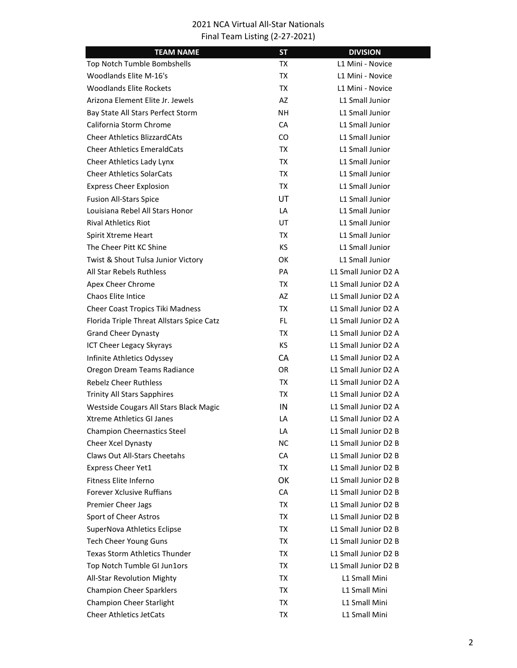| <b>TEAM NAME</b>                          | <b>ST</b> | <b>DIVISION</b>      |
|-------------------------------------------|-----------|----------------------|
| Top Notch Tumble Bombshells               | TX        | L1 Mini - Novice     |
| <b>Woodlands Elite M-16's</b>             | TX        | L1 Mini - Novice     |
| <b>Woodlands Elite Rockets</b>            | TX        | L1 Mini - Novice     |
| Arizona Element Elite Jr. Jewels          | AZ        | L1 Small Junior      |
| Bay State All Stars Perfect Storm         | NΗ        | L1 Small Junior      |
| California Storm Chrome                   | СA        | L1 Small Junior      |
| <b>Cheer Athletics BlizzardCAts</b>       | CO        | L1 Small Junior      |
| <b>Cheer Athletics EmeraldCats</b>        | TX        | L1 Small Junior      |
| Cheer Athletics Lady Lynx                 | TX        | L1 Small Junior      |
| <b>Cheer Athletics SolarCats</b>          | <b>TX</b> | L1 Small Junior      |
| <b>Express Cheer Explosion</b>            | TX        | L1 Small Junior      |
| <b>Fusion All-Stars Spice</b>             | UT        | L1 Small Junior      |
| Louisiana Rebel All Stars Honor           | LA        | L1 Small Junior      |
| <b>Rival Athletics Riot</b>               | UT        | L1 Small Junior      |
| Spirit Xtreme Heart                       | TX        | L1 Small Junior      |
| The Cheer Pitt KC Shine                   | KS.       | L1 Small Junior      |
| Twist & Shout Tulsa Junior Victory        | OK        | L1 Small Junior      |
| All Star Rebels Ruthless                  | PA        | L1 Small Junior D2 A |
| Apex Cheer Chrome                         | TX        | L1 Small Junior D2 A |
| <b>Chaos Elite Intice</b>                 | AZ        | L1 Small Junior D2 A |
| Cheer Coast Tropics Tiki Madness          | TX        | L1 Small Junior D2 A |
| Florida Triple Threat Allstars Spice Catz | <b>FL</b> | L1 Small Junior D2 A |
| <b>Grand Cheer Dynasty</b>                | TX        | L1 Small Junior D2 A |
| ICT Cheer Legacy Skyrays                  | KS.       | L1 Small Junior D2 A |
| Infinite Athletics Odyssey                | <b>CA</b> | L1 Small Junior D2 A |
| Oregon Dream Teams Radiance               | OR.       | L1 Small Junior D2 A |
| <b>Rebelz Cheer Ruthless</b>              | TX        | L1 Small Junior D2 A |
| <b>Trinity All Stars Sapphires</b>        | TX        | L1 Small Junior D2 A |
| Westside Cougars All Stars Black Magic    | IN        | L1 Small Junior D2 A |
| <b>Xtreme Athletics GI Janes</b>          | LA        | L1 Small Junior D2 A |
| <b>Champion Cheernastics Steel</b>        | LA        | L1 Small Junior D2 B |
| Cheer Xcel Dynasty                        | NC        | L1 Small Junior D2 B |
| <b>Claws Out All-Stars Cheetahs</b>       | СA        | L1 Small Junior D2 B |
| Express Cheer Yet1                        | TX        | L1 Small Junior D2 B |
| Fitness Elite Inferno                     | OK        | L1 Small Junior D2 B |
| <b>Forever Xclusive Ruffians</b>          | CA        | L1 Small Junior D2 B |
| Premier Cheer Jags                        | TX        | L1 Small Junior D2 B |
| Sport of Cheer Astros                     | TX        | L1 Small Junior D2 B |
| SuperNova Athletics Eclipse               | TX        | L1 Small Junior D2 B |
| <b>Tech Cheer Young Guns</b>              | TX        | L1 Small Junior D2 B |
| <b>Texas Storm Athletics Thunder</b>      | TX        | L1 Small Junior D2 B |
| Top Notch Tumble GI Jun1ors               | TX        | L1 Small Junior D2 B |
| All-Star Revolution Mighty                | TX        | L1 Small Mini        |
| <b>Champion Cheer Sparklers</b>           | TX        | L1 Small Mini        |
| Champion Cheer Starlight                  | TX        | L1 Small Mini        |
| <b>Cheer Athletics JetCats</b>            | TX        | L1 Small Mini        |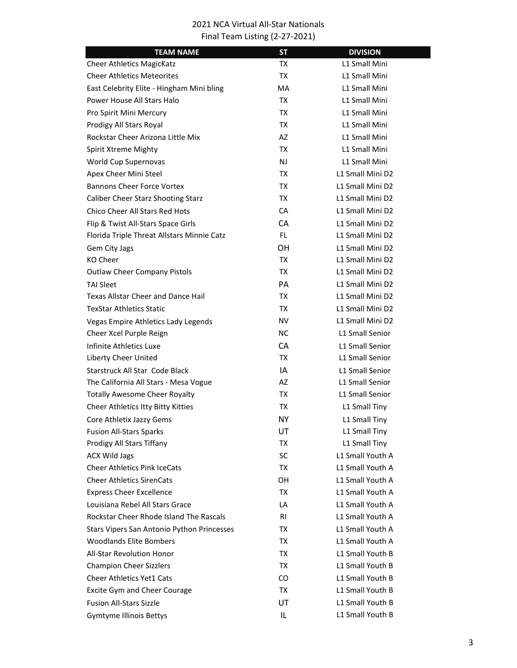| <b>TEAM NAME</b>                           | <b>ST</b> | <b>DIVISION</b>        |  |
|--------------------------------------------|-----------|------------------------|--|
| <b>Cheer Athletics MagicKatz</b>           | TX        | L1 Small Mini          |  |
| <b>Cheer Athletics Meteorites</b>          | TX        | L1 Small Mini          |  |
| East Celebrity Elite - Hingham Mini bling  | MA        | L1 Small Mini          |  |
| Power House All Stars Halo                 | TX        | L1 Small Mini          |  |
| Pro Spirit Mini Mercury                    | TX        | L1 Small Mini          |  |
| Prodigy All Stars Royal                    | TX        | L1 Small Mini          |  |
| Rockstar Cheer Arizona Little Mix          | AZ        | L1 Small Mini          |  |
| Spirit Xtreme Mighty                       | TX        | L1 Small Mini          |  |
| World Cup Supernovas                       | <b>NJ</b> | L1 Small Mini          |  |
| Apex Cheer Mini Steel                      | TX        | L1 Small Mini D2       |  |
| <b>Bannons Cheer Force Vortex</b>          | TX        | L1 Small Mini D2       |  |
| Caliber Cheer Starz Shooting Starz         | TX        | L1 Small Mini D2       |  |
| Chico Cheer All Stars Red Hots             | CA        | L1 Small Mini D2       |  |
| Flip & Twist All-Stars Space Girls         | <b>CA</b> | L1 Small Mini D2       |  |
| Florida Triple Threat Allstars Minnie Catz | <b>FL</b> | L1 Small Mini D2       |  |
| Gem City Jags                              | OН        | L1 Small Mini D2       |  |
| <b>KO Cheer</b>                            | TX        | L1 Small Mini D2       |  |
| <b>Outlaw Cheer Company Pistols</b>        | TX        | L1 Small Mini D2       |  |
| <b>TAI Sleet</b>                           | PА        | L1 Small Mini D2       |  |
| Texas Allstar Cheer and Dance Hail         | TX        | L1 Small Mini D2       |  |
| <b>TexStar Athletics Static</b>            | TX        | L1 Small Mini D2       |  |
| Vegas Empire Athletics Lady Legends        | <b>NV</b> | L1 Small Mini D2       |  |
| Cheer Xcel Purple Reign                    | NC.       | L1 Small Senior        |  |
| Infinite Athletics Luxe                    | CA        | L1 Small Senior        |  |
| Liberty Cheer United                       | TX        | L1 Small Senior        |  |
| Starstruck All Star Code Black             | IA        | <b>L1 Small Senior</b> |  |
| The California All Stars - Mesa Vogue      | AZ        | <b>L1 Small Senior</b> |  |
| <b>Totally Awesome Cheer Royalty</b>       | TX        | L1 Small Senior        |  |
| Cheer Athletics Itty Bitty Kitties         | TX        | L1 Small Tiny          |  |
| Core Athletix Jazzy Gems                   | <b>NY</b> | L1 Small Tiny          |  |
| <b>Fusion All-Stars Sparks</b>             | UT        | L1 Small Tiny          |  |
| Prodigy All Stars Tiffany                  | TX        | L1 Small Tiny          |  |
| <b>ACX Wild Jags</b>                       | SC        | L1 Small Youth A       |  |
| <b>Cheer Athletics Pink IceCats</b>        | TX        | L1 Small Youth A       |  |
| <b>Cheer Athletics SirenCats</b>           | OH        | L1 Small Youth A       |  |
| <b>Express Cheer Excellence</b>            | TX        | L1 Small Youth A       |  |
| Louisiana Rebel All Stars Grace            | LA        | L1 Small Youth A       |  |
| Rockstar Cheer Rhode Island The Rascals    | RI        | L1 Small Youth A       |  |
| Stars Vipers San Antonio Python Princesses | ТX        | L1 Small Youth A       |  |
| <b>Woodlands Elite Bombers</b>             | ТX        | L1 Small Youth A       |  |
| All-Star Revolution Honor                  | TX        | L1 Small Youth B       |  |
| <b>Champion Cheer Sizzlers</b>             | ТX        | L1 Small Youth B       |  |
| <b>Cheer Athletics Yet1 Cats</b>           | CO.       | L1 Small Youth B       |  |
| Excite Gym and Cheer Courage               | TX        | L1 Small Youth B       |  |
| <b>Fusion All-Stars Sizzle</b>             | UT        | L1 Small Youth B       |  |
| <b>Gymtyme Illinois Bettys</b>             | IL        | L1 Small Youth B       |  |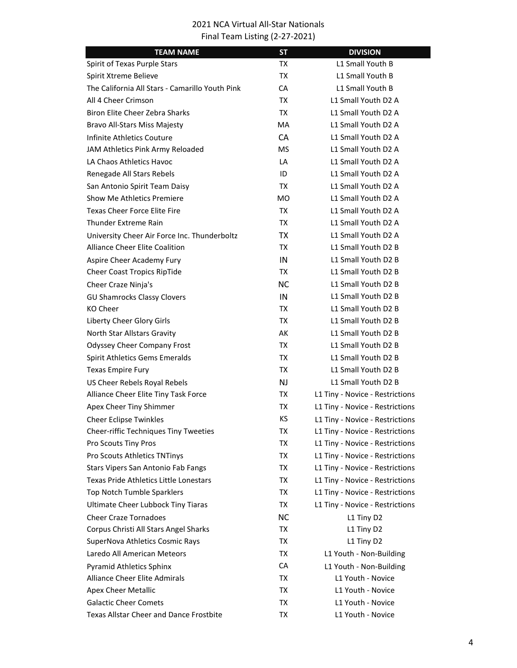| <b>TEAM NAME</b>                                | <b>ST</b> | <b>DIVISION</b>                 |
|-------------------------------------------------|-----------|---------------------------------|
| Spirit of Texas Purple Stars                    | TX        | L1 Small Youth B                |
| Spirit Xtreme Believe                           | TX        | L1 Small Youth B                |
| The California All Stars - Camarillo Youth Pink | CA        | L1 Small Youth B                |
| All 4 Cheer Crimson                             | TX.       | L1 Small Youth D2 A             |
| Biron Elite Cheer Zebra Sharks                  | TX        | L1 Small Youth D2 A             |
| <b>Bravo All-Stars Miss Majesty</b>             | <b>MA</b> | L1 Small Youth D2 A             |
| Infinite Athletics Couture                      | <b>CA</b> | L1 Small Youth D2 A             |
| JAM Athletics Pink Army Reloaded                | <b>MS</b> | L1 Small Youth D2 A             |
| LA Chaos Athletics Havoc                        | LA        | L1 Small Youth D2 A             |
| Renegade All Stars Rebels                       | ID        | L1 Small Youth D2 A             |
| San Antonio Spirit Team Daisy                   | TX.       | L1 Small Youth D2 A             |
| <b>Show Me Athletics Premiere</b>               | МO        | L1 Small Youth D2 A             |
| <b>Texas Cheer Force Elite Fire</b>             | TX        | L1 Small Youth D2 A             |
| <b>Thunder Extreme Rain</b>                     | TX        | L1 Small Youth D2 A             |
| University Cheer Air Force Inc. Thunderboltz    | <b>TX</b> | L1 Small Youth D2 A             |
| <b>Alliance Cheer Elite Coalition</b>           | TX        | L1 Small Youth D2 B             |
| Aspire Cheer Academy Fury                       | IN        | L1 Small Youth D2 B             |
| Cheer Coast Tropics RipTide                     | TX        | L1 Small Youth D2 B             |
| Cheer Craze Ninja's                             | <b>NC</b> | L1 Small Youth D2 B             |
| <b>GU Shamrocks Classy Clovers</b>              | IN        | L1 Small Youth D2 B             |
| KO Cheer                                        | TX        | L1 Small Youth D2 B             |
| Liberty Cheer Glory Girls                       | TX        | L1 Small Youth D2 B             |
| North Star Allstars Gravity                     | AK        | L1 Small Youth D2 B             |
| <b>Odyssey Cheer Company Frost</b>              | TX        | L1 Small Youth D2 B             |
| Spirit Athletics Gems Emeralds                  | TX        | L1 Small Youth D2 B             |
| <b>Texas Empire Fury</b>                        | <b>TX</b> | L1 Small Youth D2 B             |
| US Cheer Rebels Royal Rebels                    | <b>NJ</b> | L1 Small Youth D2 B             |
| Alliance Cheer Elite Tiny Task Force            | TX        | L1 Tiny - Novice - Restrictions |
| Apex Cheer Tiny Shimmer                         | ТX        | L1 Tiny - Novice - Restrictions |
| <b>Cheer Eclipse Twinkles</b>                   | КS        | L1 Tiny - Novice - Restrictions |
| Cheer-riffic Techniques Tiny Tweeties           | ТX        | L1 Tiny - Novice - Restrictions |
| Pro Scouts Tiny Pros                            | <b>TX</b> | L1 Tiny - Novice - Restrictions |
| Pro Scouts Athletics TNTinys                    | TX        | L1 Tiny - Novice - Restrictions |
| Stars Vipers San Antonio Fab Fangs              | TX        | L1 Tiny - Novice - Restrictions |
| Texas Pride Athletics Little Lonestars          | <b>TX</b> | L1 Tiny - Novice - Restrictions |
| Top Notch Tumble Sparklers                      | TX        | L1 Tiny - Novice - Restrictions |
| <b>Ultimate Cheer Lubbock Tiny Tiaras</b>       | <b>TX</b> | L1 Tiny - Novice - Restrictions |
| <b>Cheer Craze Tornadoes</b>                    | <b>NC</b> | L1 Tiny D2                      |
| Corpus Christi All Stars Angel Sharks           | TX        | L1 Tiny D2                      |
| SuperNova Athletics Cosmic Rays                 | TX        | L1 Tiny D2                      |
| Laredo All American Meteors                     | <b>TX</b> | L1 Youth - Non-Building         |
| <b>Pyramid Athletics Sphinx</b>                 | CA        | L1 Youth - Non-Building         |
| <b>Alliance Cheer Elite Admirals</b>            | <b>TX</b> | L1 Youth - Novice               |
| <b>Apex Cheer Metallic</b>                      | TX        | L1 Youth - Novice               |
| <b>Galactic Cheer Comets</b>                    | TX        | L1 Youth - Novice               |
| <b>Texas Allstar Cheer and Dance Frostbite</b>  | TX        | L1 Youth - Novice               |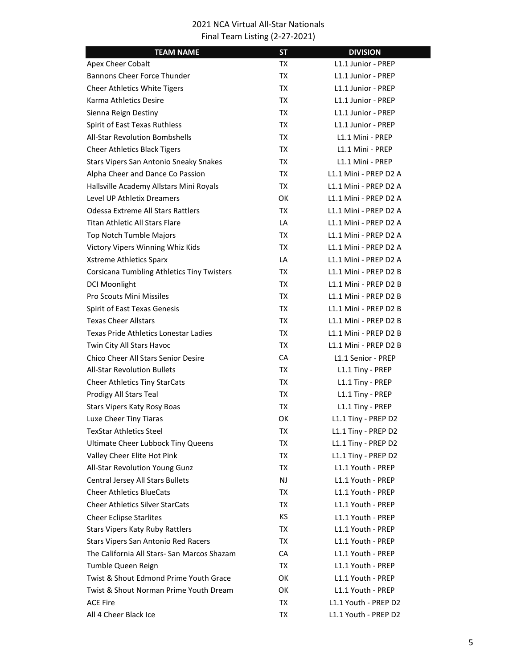| <b>TEAM NAME</b>                                  | <b>ST</b> | <b>DIVISION</b>       |
|---------------------------------------------------|-----------|-----------------------|
| Apex Cheer Cobalt                                 | TX        | L1.1 Junior - PREP    |
| <b>Bannons Cheer Force Thunder</b>                | TX        | L1.1 Junior - PREP    |
| Cheer Athletics White Tigers                      | TX        | L1.1 Junior - PREP    |
| Karma Athletics Desire                            | TX        | L1.1 Junior - PREP    |
| Sienna Reign Destiny                              | TX        | L1.1 Junior - PREP    |
| Spirit of East Texas Ruthless                     | TX        | L1.1 Junior - PREP    |
| <b>All-Star Revolution Bombshells</b>             | TX        | L1.1 Mini - PREP      |
| <b>Cheer Athletics Black Tigers</b>               | TX        | L1.1 Mini - PREP      |
| Stars Vipers San Antonio Sneaky Snakes            | TX        | L1.1 Mini - PREP      |
| Alpha Cheer and Dance Co Passion                  | TX        | L1.1 Mini - PREP D2 A |
| Hallsville Academy Allstars Mini Royals           | TX        | L1.1 Mini - PREP D2 A |
| Level UP Athletix Dreamers                        | OK        | L1.1 Mini - PREP D2 A |
| <b>Odessa Extreme All Stars Rattlers</b>          | TX        | L1.1 Mini - PREP D2 A |
| <b>Titan Athletic All Stars Flare</b>             | LA        | L1.1 Mini - PREP D2 A |
| Top Notch Tumble Majors                           | TX        | L1.1 Mini - PREP D2 A |
| Victory Vipers Winning Whiz Kids                  | TX        | L1.1 Mini - PREP D2 A |
| <b>Xstreme Athletics Sparx</b>                    | LA        | L1.1 Mini - PREP D2 A |
| <b>Corsicana Tumbling Athletics Tiny Twisters</b> | TX        | L1.1 Mini - PREP D2 B |
| <b>DCI Moonlight</b>                              | TX        | L1.1 Mini - PREP D2 B |
| <b>Pro Scouts Mini Missiles</b>                   | TX        | L1.1 Mini - PREP D2 B |
| Spirit of East Texas Genesis                      | TX        | L1.1 Mini - PREP D2 B |
| <b>Texas Cheer Allstars</b>                       | TX        | L1.1 Mini - PREP D2 B |
| Texas Pride Athletics Lonestar Ladies             | TX        | L1.1 Mini - PREP D2 B |
| Twin City All Stars Havoc                         | TX        | L1.1 Mini - PREP D2 B |
| <b>Chico Cheer All Stars Senior Desire</b>        | CA        | L1.1 Senior - PREP    |
| <b>All-Star Revolution Bullets</b>                | TX        | L1.1 Tiny - PREP      |
| <b>Cheer Athletics Tiny StarCats</b>              | TX        | L1.1 Tiny - PREP      |
| Prodigy All Stars Teal                            | TX        | L1.1 Tiny - PREP      |
| <b>Stars Vipers Katy Rosy Boas</b>                | TX        | L1.1 Tiny - PREP      |
| Luxe Cheer Tiny Tiaras                            | OK        | L1.1 Tiny - PREP D2   |
| <b>TexStar Athletics Steel</b>                    | ТX        | L1.1 Tiny - PREP D2   |
| <b>Ultimate Cheer Lubbock Tiny Queens</b>         | TX        | L1.1 Tiny - PREP D2   |
| Valley Cheer Elite Hot Pink                       | TX        | L1.1 Tiny - PREP D2   |
| All-Star Revolution Young Gunz                    | TX        | L1.1 Youth - PREP     |
| Central Jersey All Stars Bullets                  | NJ        | L1.1 Youth - PREP     |
| <b>Cheer Athletics BlueCats</b>                   | TX        | L1.1 Youth - PREP     |
| <b>Cheer Athletics Silver StarCats</b>            | TX        | L1.1 Youth - PREP     |
| <b>Cheer Eclipse Starlites</b>                    | KS.       | L1.1 Youth - PREP     |
| <b>Stars Vipers Katy Ruby Rattlers</b>            | TX        | L1.1 Youth - PREP     |
| Stars Vipers San Antonio Red Racers               | TX        | L1.1 Youth - PREP     |
| The California All Stars- San Marcos Shazam       | CA        | L1.1 Youth - PREP     |
| Tumble Queen Reign                                | TX        | L1.1 Youth - PREP     |
| Twist & Shout Edmond Prime Youth Grace            | OK        | L1.1 Youth - PREP     |
| Twist & Shout Norman Prime Youth Dream            | OK        | L1.1 Youth - PREP     |
| <b>ACE Fire</b>                                   | TX        | L1.1 Youth - PREP D2  |
| All 4 Cheer Black Ice                             | TX        | L1.1 Youth - PREP D2  |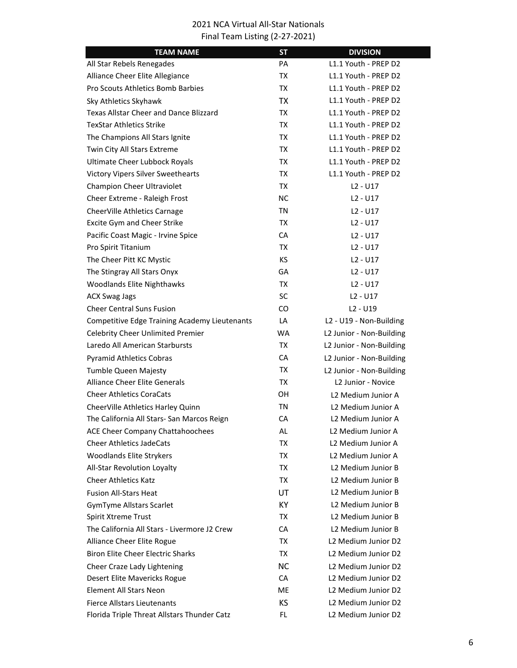| <b>TEAM NAME</b>                                     | <b>ST</b> | <b>DIVISION</b>                |
|------------------------------------------------------|-----------|--------------------------------|
| All Star Rebels Renegades                            | PA        | L1.1 Youth - PREP D2           |
| Alliance Cheer Elite Allegiance                      | TX        | L1.1 Youth - PREP D2           |
| <b>Pro Scouts Athletics Bomb Barbies</b>             | TX        | L1.1 Youth - PREP D2           |
| Sky Athletics Skyhawk                                | <b>TX</b> | L1.1 Youth - PREP D2           |
| <b>Texas Allstar Cheer and Dance Blizzard</b>        | TX        | L1.1 Youth - PREP D2           |
| <b>TexStar Athletics Strike</b>                      | TX        | L1.1 Youth - PREP D2           |
| The Champions All Stars Ignite                       | TX        | L1.1 Youth - PREP D2           |
| Twin City All Stars Extreme                          | <b>TX</b> | L1.1 Youth - PREP D2           |
| <b>Ultimate Cheer Lubbock Royals</b>                 | TX        | L1.1 Youth - PREP D2           |
| <b>Victory Vipers Silver Sweethearts</b>             | TX        | L1.1 Youth - PREP D2           |
| Champion Cheer Ultraviolet                           | <b>TX</b> | $L2 - U17$                     |
| Cheer Extreme - Raleigh Frost                        | <b>NC</b> | $L2 - U17$                     |
| CheerVille Athletics Carnage                         | <b>TN</b> | $L2 - U17$                     |
| Excite Gym and Cheer Strike                          | TX        | $L2 - U17$                     |
| Pacific Coast Magic - Irvine Spice                   | CA        | $L2 - U17$                     |
| Pro Spirit Titanium                                  | TX        | $L2 - U17$                     |
| The Cheer Pitt KC Mystic                             | KS.       | $L2 - U17$                     |
| The Stingray All Stars Onyx                          | GA        | $L2 - U17$                     |
| Woodlands Elite Nighthawks                           | TX        | $L2 - U17$                     |
| <b>ACX Swag Jags</b>                                 | <b>SC</b> | $L2 - U17$                     |
| <b>Cheer Central Suns Fusion</b>                     | CO.       | $L2 - U19$                     |
| <b>Competitive Edge Training Academy Lieutenants</b> | LA        | L2 - U19 - Non-Building        |
| <b>Celebrity Cheer Unlimited Premier</b>             | <b>WA</b> | L2 Junior - Non-Building       |
| Laredo All American Starbursts                       | TX        | L2 Junior - Non-Building       |
| <b>Pyramid Athletics Cobras</b>                      | <b>CA</b> | L2 Junior - Non-Building       |
| <b>Tumble Queen Majesty</b>                          | TX        | L2 Junior - Non-Building       |
| <b>Alliance Cheer Elite Generals</b>                 | TX        | L <sub>2</sub> Junior - Novice |
| <b>Cheer Athletics CoraCats</b>                      | OН        | L2 Medium Junior A             |
| CheerVille Athletics Harley Quinn                    | TN        | L2 Medium Junior A             |
| The California All Stars- San Marcos Reign           | CA        | L2 Medium Junior A             |
| ACE Cheer Company Chattahoochees                     | AL        | L2 Medium Junior A             |
| <b>Cheer Athletics JadeCats</b>                      | TX        | L2 Medium Junior A             |
| <b>Woodlands Elite Strykers</b>                      | TX        | L2 Medium Junior A             |
| All-Star Revolution Loyalty                          | TX        | L2 Medium Junior B             |
| <b>Cheer Athletics Katz</b>                          | TX        | L2 Medium Junior B             |
| <b>Fusion All-Stars Heat</b>                         | UT        | L <sub>2</sub> Medium Junior B |
| <b>GymTyme Allstars Scarlet</b>                      | KY.       | L2 Medium Junior B             |
| Spirit Xtreme Trust                                  | TX        | L <sub>2</sub> Medium Junior B |
| The California All Stars - Livermore J2 Crew         | CA        | L2 Medium Junior B             |
| Alliance Cheer Elite Rogue                           | TX        | L2 Medium Junior D2            |
| <b>Biron Elite Cheer Electric Sharks</b>             | TX        | L2 Medium Junior D2            |
| Cheer Craze Lady Lightening                          | <b>NC</b> | L2 Medium Junior D2            |
| Desert Elite Mavericks Rogue                         | CA        | L2 Medium Junior D2            |
| <b>Element All Stars Neon</b>                        | ME        | L2 Medium Junior D2            |
| <b>Fierce Allstars Lieutenants</b>                   | КS        | L2 Medium Junior D2            |
| Florida Triple Threat Allstars Thunder Catz          | FL        | L2 Medium Junior D2            |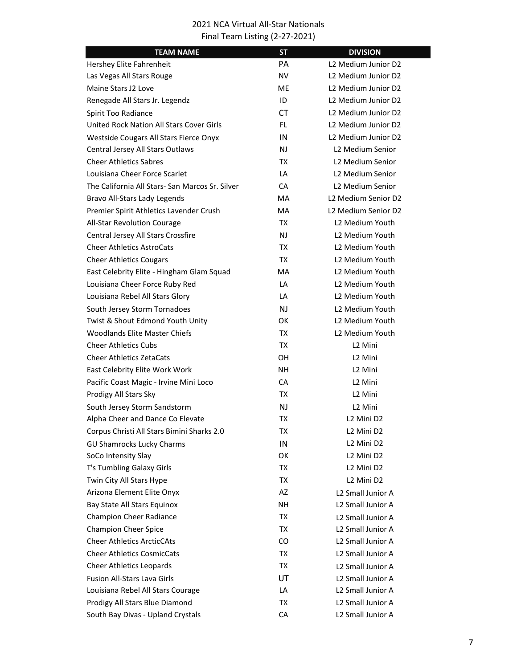| <b>TEAM NAME</b>                                | <b>ST</b> | <b>DIVISION</b>                    |
|-------------------------------------------------|-----------|------------------------------------|
| Hershey Elite Fahrenheit                        | PА        | L2 Medium Junior D2                |
| Las Vegas All Stars Rouge                       | NV        | L2 Medium Junior D2                |
| Maine Stars J2 Love                             | МE        | L2 Medium Junior D2                |
| Renegade All Stars Jr. Legendz                  | ID        | L2 Medium Junior D2                |
| Spirit Too Radiance                             | CT.       | L2 Medium Junior D2                |
| United Rock Nation All Stars Cover Girls        | FL.       | L2 Medium Junior D2                |
| Westside Cougars All Stars Fierce Onyx          | IN        | L2 Medium Junior D2                |
| Central Jersey All Stars Outlaws                | <b>NJ</b> | L2 Medium Senior                   |
| <b>Cheer Athletics Sabres</b>                   | TX        | L2 Medium Senior                   |
| Louisiana Cheer Force Scarlet                   | LA        | L2 Medium Senior                   |
| The California All Stars- San Marcos Sr. Silver | CA        | L2 Medium Senior                   |
| Bravo All-Stars Lady Legends                    | MA        | L2 Medium Senior D2                |
| Premier Spirit Athletics Lavender Crush         | MA        | L2 Medium Senior D2                |
| <b>All-Star Revolution Courage</b>              | TX        | L2 Medium Youth                    |
| Central Jersey All Stars Crossfire              | NJ.       | L2 Medium Youth                    |
| <b>Cheer Athletics AstroCats</b>                | TX        | L2 Medium Youth                    |
| <b>Cheer Athletics Cougars</b>                  | TX        | L2 Medium Youth                    |
| East Celebrity Elite - Hingham Glam Squad       | MA        | L2 Medium Youth                    |
| Louisiana Cheer Force Ruby Red                  | LA        | L <sub>2</sub> Medium Youth        |
| Louisiana Rebel All Stars Glory                 | LA        | L <sub>2</sub> Medium Youth        |
| South Jersey Storm Tornadoes                    | NJ        | L2 Medium Youth                    |
| Twist & Shout Edmond Youth Unity                | ОΚ        | L2 Medium Youth                    |
| <b>Woodlands Elite Master Chiefs</b>            | TX        | L <sub>2</sub> Medium Youth        |
| <b>Cheer Athletics Cubs</b>                     | TX        | L <sub>2</sub> Mini                |
| <b>Cheer Athletics ZetaCats</b>                 | OН        | L <sub>2</sub> Mini                |
| East Celebrity Elite Work Work                  | NΗ        | L <sub>2</sub> Mini                |
| Pacific Coast Magic - Irvine Mini Loco          | CA        | L <sub>2</sub> Mini                |
| Prodigy All Stars Sky                           | TX        | L <sub>2</sub> Mini                |
| South Jersey Storm Sandstorm                    | NJ        | L <sub>2</sub> Mini                |
| Alpha Cheer and Dance Co Elevate                | ТX        | L2 Mini D2                         |
| Corpus Christi All Stars Bimini Sharks 2.0      | ТX        | L <sub>2</sub> Mini D <sub>2</sub> |
| <b>GU Shamrocks Lucky Charms</b>                | IN        | L2 Mini D2                         |
| SoCo Intensity Slay                             | OK        | L <sub>2</sub> Mini D <sub>2</sub> |
| T's Tumbling Galaxy Girls                       | TX        | L2 Mini D2                         |
| Twin City All Stars Hype                        | TX        | L2 Mini D2                         |
| Arizona Element Elite Onyx                      | AZ        | L2 Small Junior A                  |
| Bay State All Stars Equinox                     | NΗ        | L2 Small Junior A                  |
| Champion Cheer Radiance                         | TX        | L2 Small Junior A                  |
| <b>Champion Cheer Spice</b>                     | TX        | L2 Small Junior A                  |
| <b>Cheer Athletics ArcticCAts</b>               | CO.       | L2 Small Junior A                  |
| <b>Cheer Athletics CosmicCats</b>               | TX        | L2 Small Junior A                  |
| <b>Cheer Athletics Leopards</b>                 | TX        | L2 Small Junior A                  |
| <b>Fusion All-Stars Lava Girls</b>              | UT        | L2 Small Junior A                  |
| Louisiana Rebel All Stars Courage               | LA        | L2 Small Junior A                  |
| Prodigy All Stars Blue Diamond                  | TX        | L2 Small Junior A                  |
| South Bay Divas - Upland Crystals               | CA        | L2 Small Junior A                  |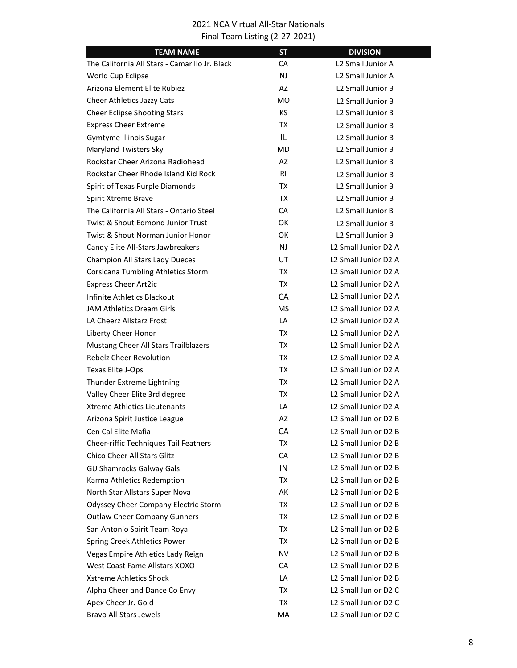| <b>TEAM NAME</b>                               | <b>ST</b>      | <b>DIVISION</b>                              |
|------------------------------------------------|----------------|----------------------------------------------|
| The California All Stars - Camarillo Jr. Black | CA             | L2 Small Junior A                            |
| World Cup Eclipse                              | NJ             | L2 Small Junior A                            |
| Arizona Element Elite Rubiez                   | AZ             | L2 Small Junior B                            |
| Cheer Athletics Jazzy Cats                     | МO             | L2 Small Junior B                            |
| <b>Cheer Eclipse Shooting Stars</b>            | <b>KS</b>      | L2 Small Junior B                            |
| <b>Express Cheer Extreme</b>                   | TX             | L2 Small Junior B                            |
| Gymtyme Illinois Sugar                         | IL             | L <sub>2</sub> Small Junior B                |
| Maryland Twisters Sky                          | <b>MD</b>      | L2 Small Junior B                            |
| Rockstar Cheer Arizona Radiohead               | AZ             | L2 Small Junior B                            |
| Rockstar Cheer Rhode Island Kid Rock           | R <sub>1</sub> | L2 Small Junior B                            |
| Spirit of Texas Purple Diamonds                | TX             | L <sub>2</sub> Small Junior B                |
| Spirit Xtreme Brave                            | TX             | L2 Small Junior B                            |
| The California All Stars - Ontario Steel       | CA             | L <sub>2</sub> Small Junior B                |
| Twist & Shout Edmond Junior Trust              | ОΚ             | L <sub>2</sub> Small Junior B                |
| Twist & Shout Norman Junior Honor              | ОΚ             | L2 Small Junior B                            |
| Candy Elite All-Stars Jawbreakers              | <b>NJ</b>      | L2 Small Junior D2 A                         |
| Champion All Stars Lady Dueces                 | UT             | L2 Small Junior D2 A                         |
| Corsicana Tumbling Athletics Storm             | TX             | L2 Small Junior D2 A                         |
| <b>Express Cheer Art2ic</b>                    | TX             | L2 Small Junior D2 A                         |
| Infinite Athletics Blackout                    | <b>CA</b>      | L2 Small Junior D2 A                         |
| JAM Athletics Dream Girls                      | MS.            | L2 Small Junior D2 A                         |
| LA Cheerz Allstarz Frost                       | LA             | L2 Small Junior D2 A                         |
| Liberty Cheer Honor                            | TX             | L2 Small Junior D2 A                         |
| Mustang Cheer All Stars Trailblazers           | TX             | L2 Small Junior D2 A                         |
| Rebelz Cheer Revolution                        | TX             | L2 Small Junior D2 A                         |
| Texas Elite J-Ops                              | TX             | L2 Small Junior D2 A                         |
| Thunder Extreme Lightning                      | TX             | L2 Small Junior D2 A                         |
| Valley Cheer Elite 3rd degree                  | TX             | L2 Small Junior D2 A                         |
| Xtreme Athletics Lieutenants                   | LA             | L2 Small Junior D2 A                         |
| Arizona Spirit Justice League                  | AZ             | L <sub>2</sub> Small Junior D <sub>2</sub> B |
| Cen Cal Elite Mafia                            | СA             | L <sub>2</sub> Small Junior D <sub>2</sub> B |
| Cheer-riffic Techniques Tail Feathers          | TX             | L <sub>2</sub> Small Junior D <sub>2</sub> B |
| Chico Cheer All Stars Glitz                    | CA             | L2 Small Junior D2 B                         |
| <b>GU Shamrocks Galway Gals</b>                | IN             | L2 Small Junior D2 B                         |
| Karma Athletics Redemption                     | TX             | L2 Small Junior D2 B                         |
| North Star Allstars Super Nova                 | AK             | L <sub>2</sub> Small Junior D <sub>2</sub> B |
| Odyssey Cheer Company Electric Storm           | TX             | L <sub>2</sub> Small Junior D <sub>2</sub> B |
| <b>Outlaw Cheer Company Gunners</b>            | TX             | L2 Small Junior D2 B                         |
| San Antonio Spirit Team Royal                  | TX             | L2 Small Junior D2 B                         |
| Spring Creek Athletics Power                   | TX             | L <sub>2</sub> Small Junior D <sub>2</sub> B |
| Vegas Empire Athletics Lady Reign              | NV             | L <sub>2</sub> Small Junior D <sub>2</sub> B |
| West Coast Fame Allstars XOXO                  | CA             | L2 Small Junior D2 B                         |
| <b>Xstreme Athletics Shock</b>                 | LA             | L2 Small Junior D2 B                         |
| Alpha Cheer and Dance Co Envy                  | TX             | L2 Small Junior D2 C                         |
| Apex Cheer Jr. Gold                            | TX             | L2 Small Junior D2 C                         |
| <b>Bravo All-Stars Jewels</b>                  | MA             | L2 Small Junior D2 C                         |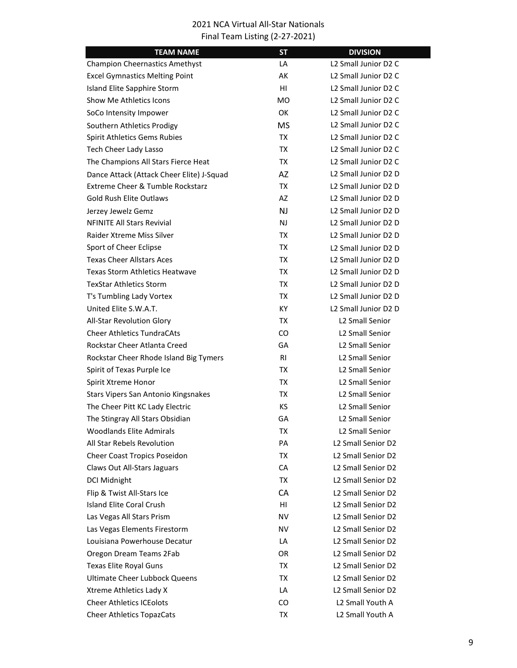| <b>TEAM NAME</b>                          | <b>ST</b>      | <b>DIVISION</b>                              |
|-------------------------------------------|----------------|----------------------------------------------|
| <b>Champion Cheernastics Amethyst</b>     | LA             | L <sub>2</sub> Small Junior D <sub>2</sub> C |
| <b>Excel Gymnastics Melting Point</b>     | АK             | L <sub>2</sub> Small Junior D <sub>2</sub> C |
| Island Elite Sapphire Storm               | HI             | L <sub>2</sub> Small Junior D <sub>2</sub> C |
| Show Me Athletics Icons                   | <b>MO</b>      | L2 Small Junior D2 C                         |
| SoCo Intensity Impower                    | OK             | L <sub>2</sub> Small Junior D <sub>2</sub> C |
| Southern Athletics Prodigy                | <b>MS</b>      | L <sub>2</sub> Small Junior D <sub>2</sub> C |
| Spirit Athletics Gems Rubies              | TX             | L <sub>2</sub> Small Junior D <sub>2</sub> C |
| Tech Cheer Lady Lasso                     | TX             | L2 Small Junior D2 C                         |
| The Champions All Stars Fierce Heat       | TX             | L <sub>2</sub> Small Junior D <sub>2</sub> C |
| Dance Attack (Attack Cheer Elite) J-Squad | <b>AZ</b>      | L <sub>2</sub> Small Junior D <sub>2</sub> D |
| Extreme Cheer & Tumble Rockstarz          | TX             | L <sub>2</sub> Small Junior D <sub>2</sub> D |
| <b>Gold Rush Elite Outlaws</b>            | AZ             | L <sub>2</sub> Small Junior D <sub>2</sub> D |
| Jerzey Jewelz Gemz                        | N <sub>J</sub> | L2 Small Junior D2 D                         |
| <b>NFINITE All Stars Revivial</b>         | NJ.            | L <sub>2</sub> Small Junior D <sub>2</sub> D |
| Raider Xtreme Miss Silver                 | TX             | L2 Small Junior D2 D                         |
| Sport of Cheer Eclipse                    | TX             | L2 Small Junior D2 D                         |
| <b>Texas Cheer Allstars Aces</b>          | TX             | L2 Small Junior D2 D                         |
| <b>Texas Storm Athletics Heatwave</b>     | TX             | L2 Small Junior D2 D                         |
| <b>TexStar Athletics Storm</b>            | TX             | L2 Small Junior D2 D                         |
| T's Tumbling Lady Vortex                  | TX             | L <sub>2</sub> Small Junior D <sub>2</sub> D |
| United Elite S.W.A.T.                     | KY.            | L2 Small Junior D2 D                         |
| All-Star Revolution Glory                 | TX             | <b>L2 Small Senior</b>                       |
| <b>Cheer Athletics TundraCAts</b>         | CO.            | L2 Small Senior                              |
| Rockstar Cheer Atlanta Creed              | GA             | <b>L2 Small Senior</b>                       |
| Rockstar Cheer Rhode Island Big Tymers    | R <sub>1</sub> | <b>L2 Small Senior</b>                       |
| Spirit of Texas Purple Ice                | TX             | L2 Small Senior                              |
| Spirit Xtreme Honor                       | TX             | L2 Small Senior                              |
| Stars Vipers San Antonio Kingsnakes       | TX             | <b>L2 Small Senior</b>                       |
| The Cheer Pitt KC Lady Electric           | КS             | <b>L2 Small Senior</b>                       |
| The Stingray All Stars Obsidian           | GA             | <b>L2 Small Senior</b>                       |
| <b>Woodlands Elite Admirals</b>           | TX             | L2 Small Senior                              |
| All Star Rebels Revolution                | PA             | L2 Small Senior D2                           |
| Cheer Coast Tropics Poseidon              | TX             | L2 Small Senior D2                           |
| Claws Out All-Stars Jaguars               | CA             | L2 Small Senior D2                           |
| <b>DCI Midnight</b>                       | TX             | L2 Small Senior D2                           |
| Flip & Twist All-Stars Ice                | CA             | L2 Small Senior D2                           |
| <b>Island Elite Coral Crush</b>           | HI             | L2 Small Senior D2                           |
| Las Vegas All Stars Prism                 | NV             | L2 Small Senior D2                           |
| Las Vegas Elements Firestorm              | NV             | L2 Small Senior D2                           |
| Louisiana Powerhouse Decatur              | LA             | L2 Small Senior D2                           |
| Oregon Dream Teams 2Fab                   | OR.            | L <sub>2</sub> Small Senior D <sub>2</sub>   |
| Texas Elite Royal Guns                    | TX             | L2 Small Senior D2                           |
| <b>Ultimate Cheer Lubbock Queens</b>      | TX             | L2 Small Senior D2                           |
| Xtreme Athletics Lady X                   | LA             | L <sub>2</sub> Small Senior D <sub>2</sub>   |
| <b>Cheer Athletics ICEolots</b>           | CO.            | L2 Small Youth A                             |
| <b>Cheer Athletics TopazCats</b>          | TX             | L2 Small Youth A                             |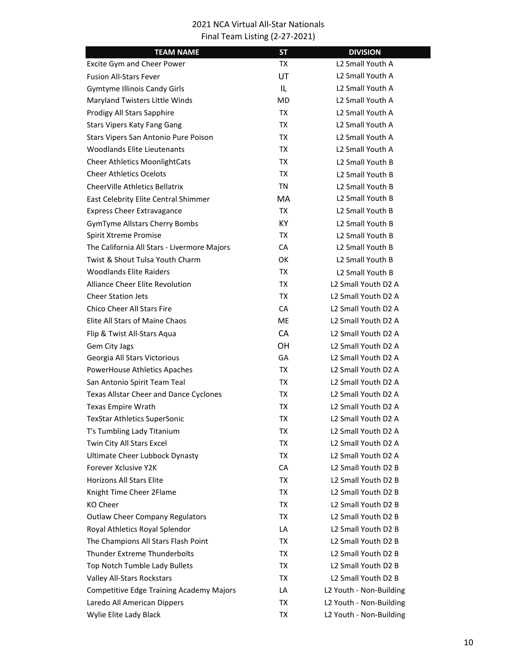| <b>TEAM NAME</b>                                | <b>ST</b> | <b>DIVISION</b>                             |
|-------------------------------------------------|-----------|---------------------------------------------|
| Excite Gym and Cheer Power                      | TX        | L2 Small Youth A                            |
| <b>Fusion All-Stars Fever</b>                   | UT        | L2 Small Youth A                            |
| <b>Gymtyme Illinois Candy Girls</b>             | IL        | L2 Small Youth A                            |
| Maryland Twisters Little Winds                  | MD.       | L2 Small Youth A                            |
| Prodigy All Stars Sapphire                      | TX        | L <sub>2</sub> Small Youth A                |
| <b>Stars Vipers Katy Fang Gang</b>              | ТX        | L2 Small Youth A                            |
| Stars Vipers San Antonio Pure Poison            | TX        | L2 Small Youth A                            |
| <b>Woodlands Elite Lieutenants</b>              | TX        | L2 Small Youth A                            |
| <b>Cheer Athletics MoonlightCats</b>            | ТX        | L <sub>2</sub> Small Youth B                |
| <b>Cheer Athletics Ocelots</b>                  | TX        | L <sub>2</sub> Small Youth B                |
| CheerVille Athletics Bellatrix                  | TN        | L <sub>2</sub> Small Youth B                |
| East Celebrity Elite Central Shimmer            | MA        | L <sub>2</sub> Small Youth B                |
| <b>Express Cheer Extravagance</b>               | TX        | L2 Small Youth B                            |
| <b>GymTyme Allstars Cherry Bombs</b>            | KY.       | L <sub>2</sub> Small Youth B                |
| Spirit Xtreme Promise                           | TX        | L <sub>2</sub> Small Youth B                |
| The California All Stars - Livermore Majors     | CA        | L2 Small Youth B                            |
| Twist & Shout Tulsa Youth Charm                 | OK        | L <sub>2</sub> Small Youth B                |
| <b>Woodlands Elite Raiders</b>                  | TX        | L <sub>2</sub> Small Youth B                |
| <b>Alliance Cheer Elite Revolution</b>          | TX        | L2 Small Youth D2 A                         |
| <b>Cheer Station Jets</b>                       | TX        | L2 Small Youth D2 A                         |
| <b>Chico Cheer All Stars Fire</b>               | CA        | L2 Small Youth D2 A                         |
| <b>Elite All Stars of Maine Chaos</b>           | <b>ME</b> | L2 Small Youth D2 A                         |
| Flip & Twist All-Stars Aqua                     | <b>CA</b> | L2 Small Youth D2 A                         |
| Gem City Jags                                   | OН        | L2 Small Youth D2 A                         |
| Georgia All Stars Victorious                    | GA        | L <sub>2</sub> Small Youth D <sub>2</sub> A |
| PowerHouse Athletics Apaches                    | TX        | L2 Small Youth D2 A                         |
| San Antonio Spirit Team Teal                    | TX        | L2 Small Youth D2 A                         |
| Texas Allstar Cheer and Dance Cyclones          | ТX        | L2 Small Youth D2 A                         |
| Texas Empire Wrath                              | ТX        | L2 Small Youth D2 A                         |
| <b>TexStar Athletics SuperSonic</b>             | ТX        | L2 Small Youth D2 A                         |
| T's Tumbling Lady Titanium                      | ТX        | L2 Small Youth D2 A                         |
| Twin City All Stars Excel                       | ТX        | L2 Small Youth D2 A                         |
| Ultimate Cheer Lubbock Dynasty                  | TX        | L2 Small Youth D2 A                         |
| Forever Xclusive Y2K                            | CA        | L <sub>2</sub> Small Youth D <sub>2</sub> B |
| <b>Horizons All Stars Elite</b>                 | TX        | L <sub>2</sub> Small Youth D <sub>2</sub> B |
| Knight Time Cheer 2Flame                        | TX        | L2 Small Youth D2 B                         |
| KO Cheer                                        | TX        | L2 Small Youth D2 B                         |
| <b>Outlaw Cheer Company Regulators</b>          | TX        | L2 Small Youth D2 B                         |
| Royal Athletics Royal Splendor                  | LA        | L2 Small Youth D2 B                         |
| The Champions All Stars Flash Point             | TX        | L2 Small Youth D2 B                         |
| Thunder Extreme Thunderbolts                    | ТX        | L2 Small Youth D2 B                         |
| Top Notch Tumble Lady Bullets                   | TX        | L2 Small Youth D2 B                         |
| Valley All-Stars Rockstars                      | TX        | L2 Small Youth D2 B                         |
| <b>Competitive Edge Training Academy Majors</b> | LA        | L2 Youth - Non-Building                     |
| Laredo All American Dippers                     | TX        | L2 Youth - Non-Building                     |
| Wylie Elite Lady Black                          | TX        | L2 Youth - Non-Building                     |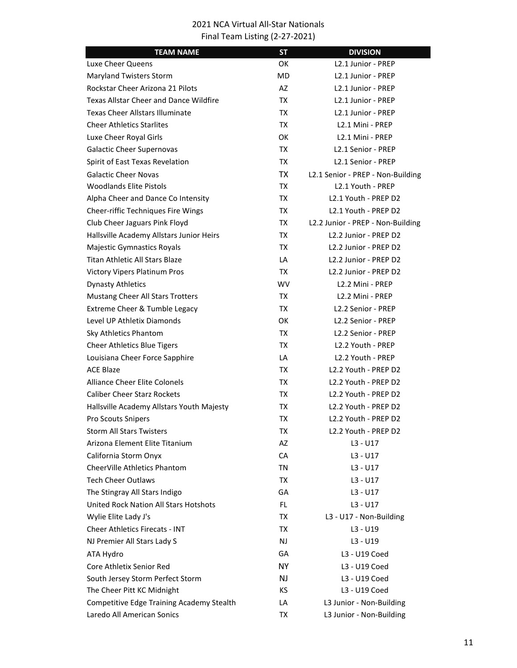| <b>TEAM NAME</b>                              | <b>ST</b> | <b>DIVISION</b>                                |
|-----------------------------------------------|-----------|------------------------------------------------|
| Luxe Cheer Queens                             | OK        | L2.1 Junior - PREP                             |
| Maryland Twisters Storm                       | MD.       | L <sub>2.1</sub> Junior - PREP                 |
| Rockstar Cheer Arizona 21 Pilots              | AZ        | L2.1 Junior - PREP                             |
| <b>Texas Allstar Cheer and Dance Wildfire</b> | TX        | L2.1 Junior - PREP                             |
| Texas Cheer Allstars Illuminate               | TX        | L <sub>2</sub> .1 Junior - PREP                |
| <b>Cheer Athletics Starlites</b>              | <b>TX</b> | L <sub>2.1</sub> Mini - PREP                   |
| Luxe Cheer Royal Girls                        | OK        | L <sub>2.1</sub> Mini - PREP                   |
| <b>Galactic Cheer Supernovas</b>              | TX        | L2.1 Senior - PREP                             |
| Spirit of East Texas Revelation               | TX        | L <sub>2.1</sub> Senior - PREP                 |
| <b>Galactic Cheer Novas</b>                   | <b>TX</b> | L2.1 Senior - PREP - Non-Building              |
| <b>Woodlands Elite Pistols</b>                | TX        | L <sub>2</sub> .1 Youth - PREP                 |
| Alpha Cheer and Dance Co Intensity            | TX        | L2.1 Youth - PREP D2                           |
| Cheer-riffic Techniques Fire Wings            | ТX        | L2.1 Youth - PREP D2                           |
| Club Cheer Jaguars Pink Floyd                 | TX        | L2.2 Junior - PREP - Non-Building              |
| Hallsville Academy Allstars Junior Heirs      | TX        | L <sub>2</sub> .2 Junior - PREP D <sub>2</sub> |
| Majestic Gymnastics Royals                    | TX        | L <sub>2</sub> .2 Junior - PREP D <sub>2</sub> |
| <b>Titan Athletic All Stars Blaze</b>         | LA        | L2.2 Junior - PREP D2                          |
| <b>Victory Vipers Platinum Pros</b>           | TX        | L2.2 Junior - PREP D2                          |
| <b>Dynasty Athletics</b>                      | <b>WV</b> | L <sub>2</sub> .2 Mini - PREP                  |
| Mustang Cheer All Stars Trotters              | TX        | L <sub>2</sub> .2 Mini - PREP                  |
| Extreme Cheer & Tumble Legacy                 | TX        | L2.2 Senior - PREP                             |
| Level UP Athletix Diamonds                    | ОΚ        | L2.2 Senior - PREP                             |
| Sky Athletics Phantom                         | TX        | L2.2 Senior - PREP                             |
| <b>Cheer Athletics Blue Tigers</b>            | TX        | L2.2 Youth - PREP                              |
| Louisiana Cheer Force Sapphire                | LA        | L2.2 Youth - PREP                              |
| <b>ACE Blaze</b>                              | TX        | L2.2 Youth - PREP D2                           |
| Alliance Cheer Elite Colonels                 | TX        | L2.2 Youth - PREP D2                           |
| <b>Caliber Cheer Starz Rockets</b>            | ТX        | L2.2 Youth - PREP D2                           |
| Hallsville Academy Allstars Youth Majesty     | ТX        | L2.2 Youth - PREP D2                           |
| Pro Scouts Snipers                            | <b>TX</b> | L2.2 Youth - PREP D2                           |
| <b>Storm All Stars Twisters</b>               | ТX        | L2.2 Youth - PREP D2                           |
| Arizona Element Elite Titanium                | AZ        | L3 - U17                                       |
| California Storm Onyx                         | CA        | L3 - U17                                       |
| CheerVille Athletics Phantom                  | TN        | $L3 - U17$                                     |
| <b>Tech Cheer Outlaws</b>                     | TX        | L3 - U17                                       |
| The Stingray All Stars Indigo                 | GA        | $L3 - U17$                                     |
| United Rock Nation All Stars Hotshots         | FL.       | $L3 - U17$                                     |
| Wylie Elite Lady J's                          | TX        | L3 - U17 - Non-Building                        |
| <b>Cheer Athletics Firecats - INT</b>         | ТX        | L3 - U19                                       |
| NJ Premier All Stars Lady S                   | <b>NJ</b> | $L3 - U19$                                     |
| ATA Hydro                                     | GA        | L3 - U19 Coed                                  |
| Core Athletix Senior Red                      | <b>NY</b> | L3 - U19 Coed                                  |
| South Jersey Storm Perfect Storm              | NJ        | L3 - U19 Coed                                  |
| The Cheer Pitt KC Midnight                    | KS.       | L3 - U19 Coed                                  |
| Competitive Edge Training Academy Stealth     | LA        | L3 Junior - Non-Building                       |
| Laredo All American Sonics                    | TX        | L3 Junior - Non-Building                       |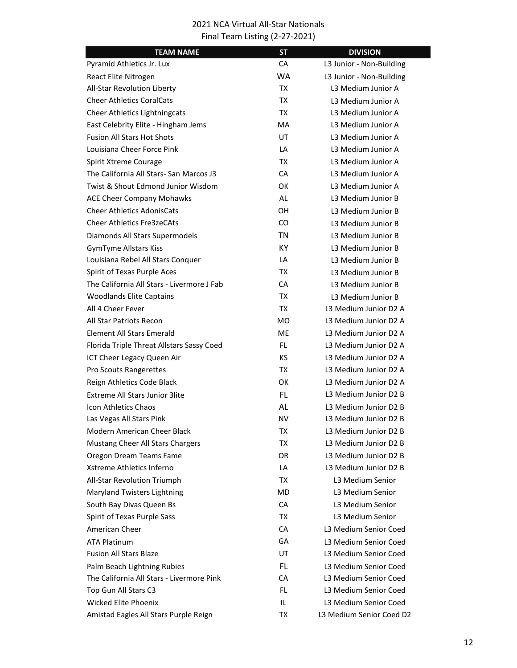| <b>TEAM NAME</b>                           | <b>ST</b> | <b>DIVISION</b>          |
|--------------------------------------------|-----------|--------------------------|
| Pyramid Athletics Jr. Lux                  | CA        | L3 Junior - Non-Building |
| React Elite Nitrogen                       | WA        | L3 Junior - Non-Building |
| All-Star Revolution Liberty                | TX        | L3 Medium Junior A       |
| <b>Cheer Athletics CoralCats</b>           | TX        | L3 Medium Junior A       |
| <b>Cheer Athletics Lightningcats</b>       | ТX        | L3 Medium Junior A       |
| East Celebrity Elite - Hingham Jems        | MA        | L3 Medium Junior A       |
| <b>Fusion All Stars Hot Shots</b>          | UT        | L3 Medium Junior A       |
| Louisiana Cheer Force Pink                 | LA        | L3 Medium Junior A       |
| Spirit Xtreme Courage                      | ТX        | L3 Medium Junior A       |
| The California All Stars- San Marcos J3    | <b>CA</b> | L3 Medium Junior A       |
| Twist & Shout Edmond Junior Wisdom         | OK.       | L3 Medium Junior A       |
| <b>ACE Cheer Company Mohawks</b>           | AL        | L3 Medium Junior B       |
| <b>Cheer Athletics AdonisCats</b>          | OН        | L3 Medium Junior B       |
| <b>Cheer Athletics Fre3zeCAts</b>          | CO.       | L3 Medium Junior B       |
| Diamonds All Stars Supermodels             | <b>TN</b> | L3 Medium Junior B       |
| <b>GymTyme Allstars Kiss</b>               | KY.       | L3 Medium Junior B       |
| Louisiana Rebel All Stars Conquer          | LA        | L3 Medium Junior B       |
| Spirit of Texas Purple Aces                | TX        | L3 Medium Junior B       |
| The California All Stars - Livermore J Fab | CA        | L3 Medium Junior B       |
| <b>Woodlands Elite Captains</b>            | ТX        | L3 Medium Junior B       |
| All 4 Cheer Fever                          | TX        | L3 Medium Junior D2 A    |
| All Star Patriots Recon                    | MO.       | L3 Medium Junior D2 A    |
| <b>Element All Stars Emerald</b>           | ME.       | L3 Medium Junior D2 A    |
| Florida Triple Threat Allstars Sassy Coed  | FL.       | L3 Medium Junior D2 A    |
| ICT Cheer Legacy Queen Air                 | <b>KS</b> | L3 Medium Junior D2 A    |
| Pro Scouts Rangerettes                     | TX        | L3 Medium Junior D2 A    |
| Reign Athletics Code Black                 | ОΚ        | L3 Medium Junior D2 A    |
| <b>Extreme All Stars Junior 3lite</b>      | FL        | L3 Medium Junior D2 B    |
| Icon Athletics Chaos                       | AL        | L3 Medium Junior D2 B    |
| Las Vegas All Stars Pink                   | NV        | L3 Medium Junior D2 B    |
| Modern American Cheer Black                | ТX        | L3 Medium Junior D2 B    |
| Mustang Cheer All Stars Chargers           | ТX        | L3 Medium Junior D2 B    |
| Oregon Dream Teams Fame                    | OR.       | L3 Medium Junior D2 B    |
| Xstreme Athletics Inferno                  | LA        | L3 Medium Junior D2 B    |
| All-Star Revolution Triumph                | TX        | L3 Medium Senior         |
| Maryland Twisters Lightning                | MD.       | L3 Medium Senior         |
| South Bay Divas Queen Bs                   | CA        | L3 Medium Senior         |
| Spirit of Texas Purple Sass                | ТX        | L3 Medium Senior         |
| American Cheer                             | CA        | L3 Medium Senior Coed    |
| <b>ATA Platinum</b>                        | GA        | L3 Medium Senior Coed    |
| <b>Fusion All Stars Blaze</b>              | UT        | L3 Medium Senior Coed    |
| Palm Beach Lightning Rubies                | FL.       | L3 Medium Senior Coed    |
| The California All Stars - Livermore Pink  | CA        | L3 Medium Senior Coed    |
| Top Gun All Stars C3                       | FL        | L3 Medium Senior Coed    |
| Wicked Elite Phoenix                       | IL        | L3 Medium Senior Coed    |
| Amistad Eagles All Stars Purple Reign      | ТX        | L3 Medium Senior Coed D2 |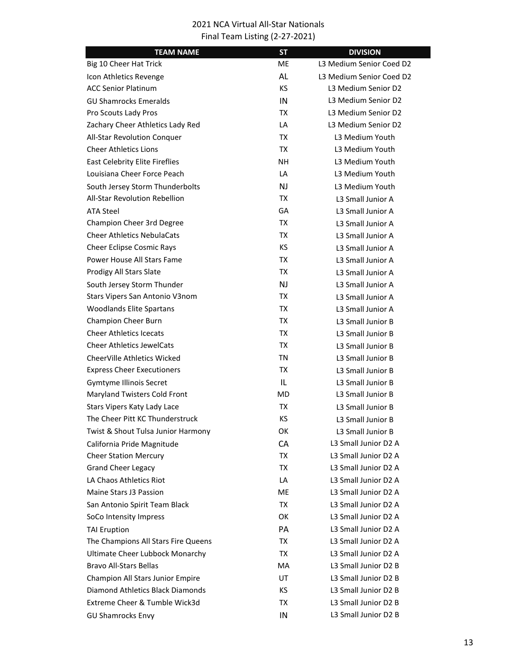| <b>TEAM NAME</b>                      | <b>ST</b> | <b>DIVISION</b>          |
|---------------------------------------|-----------|--------------------------|
| Big 10 Cheer Hat Trick                | МE        | L3 Medium Senior Coed D2 |
| Icon Athletics Revenge                | AL        | L3 Medium Senior Coed D2 |
| <b>ACC Senior Platinum</b>            | <b>KS</b> | L3 Medium Senior D2      |
| <b>GU Shamrocks Emeralds</b>          | IN        | L3 Medium Senior D2      |
| Pro Scouts Lady Pros                  | TX        | L3 Medium Senior D2      |
| Zachary Cheer Athletics Lady Red      | LA        | L3 Medium Senior D2      |
| All-Star Revolution Conquer           | <b>TX</b> | L3 Medium Youth          |
| <b>Cheer Athletics Lions</b>          | <b>TX</b> | L3 Medium Youth          |
| <b>East Celebrity Elite Fireflies</b> | <b>NH</b> | L3 Medium Youth          |
| Louisiana Cheer Force Peach           | LA        | L3 Medium Youth          |
| South Jersey Storm Thunderbolts       | <b>NJ</b> | L3 Medium Youth          |
| All-Star Revolution Rebellion         | TX        | L3 Small Junior A        |
| <b>ATA Steel</b>                      | GA        | L3 Small Junior A        |
| Champion Cheer 3rd Degree             | TX        | L3 Small Junior A        |
| <b>Cheer Athletics NebulaCats</b>     | TX        | L3 Small Junior A        |
| <b>Cheer Eclipse Cosmic Rays</b>      | KS        | L3 Small Junior A        |
| Power House All Stars Fame            | TX        | L3 Small Junior A        |
| Prodigy All Stars Slate               | TX        | L3 Small Junior A        |
| South Jersey Storm Thunder            | <b>NJ</b> | L3 Small Junior A        |
| Stars Vipers San Antonio V3nom        | TX        | L3 Small Junior A        |
| <b>Woodlands Elite Spartans</b>       | TX        | L3 Small Junior A        |
| Champion Cheer Burn                   | <b>TX</b> | L3 Small Junior B        |
| <b>Cheer Athletics Icecats</b>        | TX        | L3 Small Junior B        |
| <b>Cheer Athletics JewelCats</b>      | TX        | L3 Small Junior B        |
| CheerVille Athletics Wicked           | TN        | L3 Small Junior B        |
| <b>Express Cheer Executioners</b>     | <b>TX</b> | L3 Small Junior B        |
| Gymtyme Illinois Secret               | IL        | L3 Small Junior B        |
| Maryland Twisters Cold Front          | MD        | L3 Small Junior B        |
| Stars Vipers Katy Lady Lace           | ТX        | L3 Small Junior B        |
| The Cheer Pitt KC Thunderstruck       | ΚS        | L3 Small Junior B        |
| Twist & Shout Tulsa Junior Harmony    | ОΚ        | L3 Small Junior B        |
| California Pride Magnitude            | CA        | L3 Small Junior D2 A     |
| <b>Cheer Station Mercury</b>          | TX        | L3 Small Junior D2 A     |
| <b>Grand Cheer Legacy</b>             | TX        | L3 Small Junior D2 A     |
| LA Chaos Athletics Riot               | LA        | L3 Small Junior D2 A     |
| Maine Stars J3 Passion                | ME        | L3 Small Junior D2 A     |
| San Antonio Spirit Team Black         | TX        | L3 Small Junior D2 A     |
| SoCo Intensity Impress                | OK        | L3 Small Junior D2 A     |
| <b>TAI Eruption</b>                   | PA        | L3 Small Junior D2 A     |
| The Champions All Stars Fire Queens   | TX        | L3 Small Junior D2 A     |
| Ultimate Cheer Lubbock Monarchy       | TX        | L3 Small Junior D2 A     |
| <b>Bravo All-Stars Bellas</b>         | MA        | L3 Small Junior D2 B     |
| Champion All Stars Junior Empire      | UT        | L3 Small Junior D2 B     |
| Diamond Athletics Black Diamonds      | KS        | L3 Small Junior D2 B     |
| Extreme Cheer & Tumble Wick3d         | TX        | L3 Small Junior D2 B     |
| <b>GU Shamrocks Envy</b>              | IN        | L3 Small Junior D2 B     |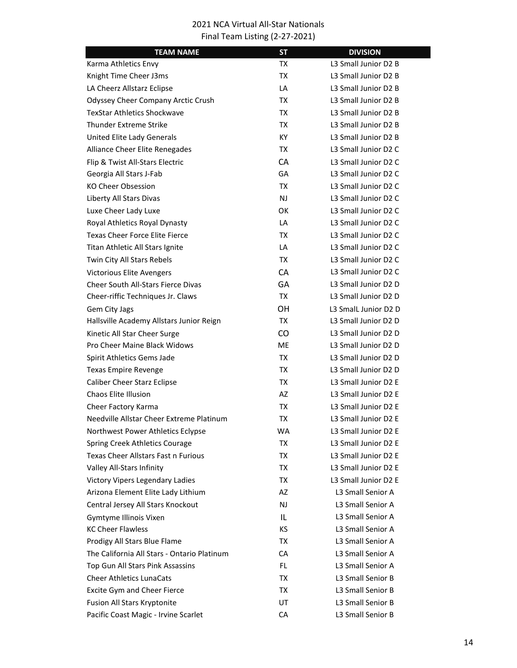| <b>TEAM NAME</b>                            | <b>ST</b> | <b>DIVISION</b>      |
|---------------------------------------------|-----------|----------------------|
| Karma Athletics Envy                        | TX        | L3 Small Junior D2 B |
| Knight Time Cheer J3ms                      | TX        | L3 Small Junior D2 B |
| LA Cheerz Allstarz Eclipse                  | LA        | L3 Small Junior D2 B |
| <b>Odyssey Cheer Company Arctic Crush</b>   | TX        | L3 Small Junior D2 B |
| <b>TexStar Athletics Shockwave</b>          | TX        | L3 Small Junior D2 B |
| <b>Thunder Extreme Strike</b>               | TX        | L3 Small Junior D2 B |
| United Elite Lady Generals                  | <b>KY</b> | L3 Small Junior D2 B |
| Alliance Cheer Elite Renegades              | ТX        | L3 Small Junior D2 C |
| Flip & Twist All-Stars Electric             | CA        | L3 Small Junior D2 C |
| Georgia All Stars J-Fab                     | GA        | L3 Small Junior D2 C |
| <b>KO Cheer Obsession</b>                   | TX        | L3 Small Junior D2 C |
| Liberty All Stars Divas                     | <b>NJ</b> | L3 Small Junior D2 C |
| Luxe Cheer Lady Luxe                        | <b>OK</b> | L3 Small Junior D2 C |
| Royal Athletics Royal Dynasty               | LA        | L3 Small Junior D2 C |
| <b>Texas Cheer Force Elite Fierce</b>       | ТX        | L3 Small Junior D2 C |
| Titan Athletic All Stars Ignite             | LA        | L3 Small Junior D2 C |
| Twin City All Stars Rebels                  | TX        | L3 Small Junior D2 C |
| <b>Victorious Elite Avengers</b>            | <b>CA</b> | L3 Small Junior D2 C |
| Cheer South All-Stars Fierce Divas          | GΑ        | L3 Small Junior D2 D |
| Cheer-riffic Techniques Jr. Claws           | TX        | L3 Small Junior D2 D |
| Gem City Jags                               | OН        | L3 Small Junior D2 D |
| Hallsville Academy Allstars Junior Reign    | TX        | L3 Small Junior D2 D |
| Kinetic All Star Cheer Surge                | CO        | L3 Small Junior D2 D |
| Pro Cheer Maine Black Widows                | <b>ME</b> | L3 Small Junior D2 D |
| Spirit Athletics Gems Jade                  | ТX        | L3 Small Junior D2 D |
| <b>Texas Empire Revenge</b>                 | TX        | L3 Small Junior D2 D |
| <b>Caliber Cheer Starz Eclipse</b>          | ТX        | L3 Small Junior D2 E |
| <b>Chaos Elite Illusion</b>                 | AZ        | L3 Small Junior D2 E |
| Cheer Factory Karma                         | ТX        | L3 Small Junior D2 E |
| Needville Allstar Cheer Extreme Platinum    | ТX        | L3 Small Junior D2 E |
| Northwest Power Athletics Eclypse           | <b>WA</b> | L3 Small Junior D2 E |
| Spring Creek Athletics Courage              | TX        | L3 Small Junior D2 E |
| Texas Cheer Allstars Fast n Furious         | TX        | L3 Small Junior D2 E |
| Valley All-Stars Infinity                   | TX        | L3 Small Junior D2 E |
| Victory Vipers Legendary Ladies             | TX        | L3 Small Junior D2 E |
| Arizona Element Elite Lady Lithium          | AZ        | L3 Small Senior A    |
| Central Jersey All Stars Knockout           | <b>NJ</b> | L3 Small Senior A    |
| Gymtyme Illinois Vixen                      | IL        | L3 Small Senior A    |
| <b>KC Cheer Flawless</b>                    | KS        | L3 Small Senior A    |
| Prodigy All Stars Blue Flame                | TX        | L3 Small Senior A    |
| The California All Stars - Ontario Platinum | CA        | L3 Small Senior A    |
| Top Gun All Stars Pink Assassins            | FL.       | L3 Small Senior A    |
| <b>Cheer Athletics LunaCats</b>             | TX        | L3 Small Senior B    |
| Excite Gym and Cheer Fierce                 | TX        | L3 Small Senior B    |
| Fusion All Stars Kryptonite                 | UT        | L3 Small Senior B    |
| Pacific Coast Magic - Irvine Scarlet        | CA        | L3 Small Senior B    |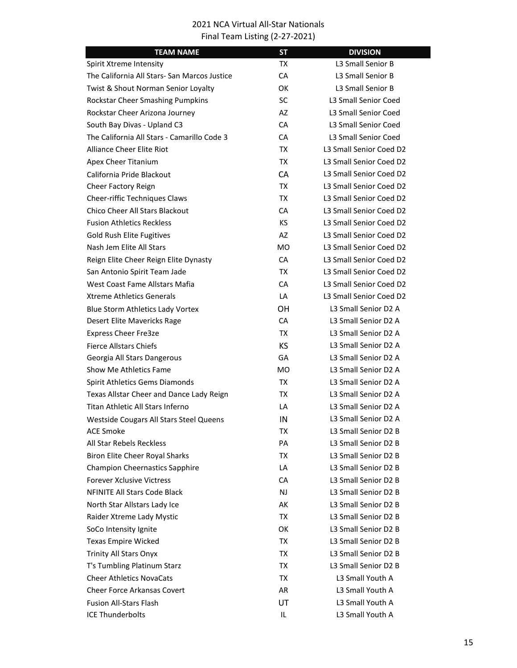| <b>TEAM NAME</b>                             | <b>ST</b> | <b>DIVISION</b>             |
|----------------------------------------------|-----------|-----------------------------|
| Spirit Xtreme Intensity                      | ТX        | L3 Small Senior B           |
| The California All Stars- San Marcos Justice | СA        | L3 Small Senior B           |
| Twist & Shout Norman Senior Loyalty          | ОΚ        | L3 Small Senior B           |
| Rockstar Cheer Smashing Pumpkins             | <b>SC</b> | L3 Small Senior Coed        |
| Rockstar Cheer Arizona Journey               | AZ        | L3 Small Senior Coed        |
| South Bay Divas - Upland C3                  | CA        | L3 Small Senior Coed        |
| The California All Stars - Camarillo Code 3  | <b>CA</b> | <b>L3 Small Senior Coed</b> |
| <b>Alliance Cheer Elite Riot</b>             | TX        | L3 Small Senior Coed D2     |
| Apex Cheer Titanium                          | TX        | L3 Small Senior Coed D2     |
| California Pride Blackout                    | <b>CA</b> | L3 Small Senior Coed D2     |
| Cheer Factory Reign                          | TX        | L3 Small Senior Coed D2     |
| Cheer-riffic Techniques Claws                | <b>TX</b> | L3 Small Senior Coed D2     |
| Chico Cheer All Stars Blackout               | <b>CA</b> | L3 Small Senior Coed D2     |
| <b>Fusion Athletics Reckless</b>             | КS        | L3 Small Senior Coed D2     |
| <b>Gold Rush Elite Fugitives</b>             | AZ        | L3 Small Senior Coed D2     |
| Nash Jem Elite All Stars                     | <b>MO</b> | L3 Small Senior Coed D2     |
| Reign Elite Cheer Reign Elite Dynasty        | CA        | L3 Small Senior Coed D2     |
| San Antonio Spirit Team Jade                 | TX        | L3 Small Senior Coed D2     |
| West Coast Fame Allstars Mafia               | <b>CA</b> | L3 Small Senior Coed D2     |
| <b>Xtreme Athletics Generals</b>             | LA        | L3 Small Senior Coed D2     |
| Blue Storm Athletics Lady Vortex             | OН        | L3 Small Senior D2 A        |
| Desert Elite Mavericks Rage                  | <b>CA</b> | L3 Small Senior D2 A        |
| <b>Express Cheer Fre3ze</b>                  | ТX        | L3 Small Senior D2 A        |
| <b>Fierce Allstars Chiefs</b>                | KS        | L3 Small Senior D2 A        |
| Georgia All Stars Dangerous                  | GA        | L3 Small Senior D2 A        |
| Show Me Athletics Fame                       | MO.       | L3 Small Senior D2 A        |
| Spirit Athletics Gems Diamonds               | TX        | L3 Small Senior D2 A        |
| Texas Allstar Cheer and Dance Lady Reign     | ТX        | L3 Small Senior D2 A        |
| Titan Athletic All Stars Inferno             | LA        | L3 Small Senior D2 A        |
| Westside Cougars All Stars Steel Queens      | IN        | L3 Small Senior D2 A        |
| <b>ACE Smoke</b>                             | ТX        | L3 Small Senior D2 B        |
| All Star Rebels Reckless                     | PA        | L3 Small Senior D2 B        |
| Biron Elite Cheer Royal Sharks               | TX        | L3 Small Senior D2 B        |
| <b>Champion Cheernastics Sapphire</b>        | LA        | L3 Small Senior D2 B        |
| <b>Forever Xclusive Victress</b>             | СA        | L3 Small Senior D2 B        |
| <b>NFINITE All Stars Code Black</b>          | NJ        | L3 Small Senior D2 B        |
| North Star Allstars Lady Ice                 | АK        | L3 Small Senior D2 B        |
| Raider Xtreme Lady Mystic                    | TX        | L3 Small Senior D2 B        |
| SoCo Intensity Ignite                        | OK        | L3 Small Senior D2 B        |
| Texas Empire Wicked                          | TX        | L3 Small Senior D2 B        |
| <b>Trinity All Stars Onyx</b>                | TX        | L3 Small Senior D2 B        |
| T's Tumbling Platinum Starz                  | TX        | L3 Small Senior D2 B        |
| <b>Cheer Athletics NovaCats</b>              | TX        | L3 Small Youth A            |
| <b>Cheer Force Arkansas Covert</b>           | AR        | L3 Small Youth A            |
| <b>Fusion All-Stars Flash</b>                | UT        | L3 Small Youth A            |
| <b>ICE Thunderbolts</b>                      | IL        | L3 Small Youth A            |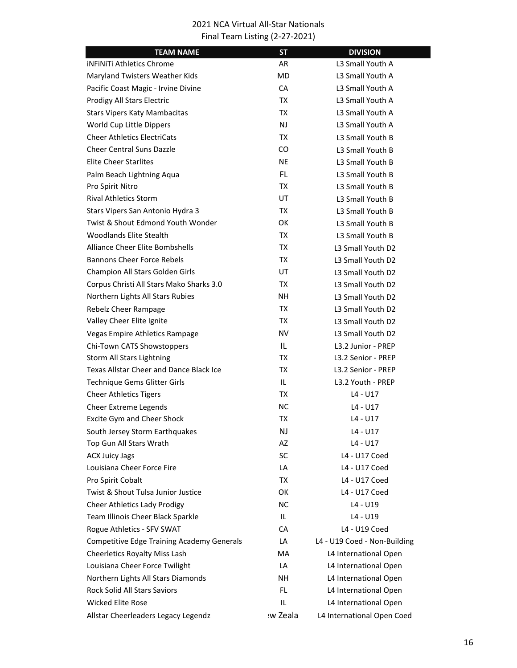| <b>TEAM NAME</b>                                  | <b>ST</b> | <b>DIVISION</b>              |
|---------------------------------------------------|-----------|------------------------------|
| <b>iNFINITI Athletics Chrome</b>                  | AR        | L3 Small Youth A             |
| Maryland Twisters Weather Kids                    | <b>MD</b> | L3 Small Youth A             |
| Pacific Coast Magic - Irvine Divine               | CA        | L3 Small Youth A             |
| Prodigy All Stars Electric                        | TX        | L3 Small Youth A             |
| <b>Stars Vipers Katy Mambacitas</b>               | TX        | L3 Small Youth A             |
| World Cup Little Dippers                          | NJ.       | L3 Small Youth A             |
| <b>Cheer Athletics ElectriCats</b>                | TX        | L3 Small Youth B             |
| <b>Cheer Central Suns Dazzle</b>                  | CO        | L3 Small Youth B             |
| <b>Elite Cheer Starlites</b>                      | <b>NE</b> | L3 Small Youth B             |
| Palm Beach Lightning Aqua                         | FL.       | L3 Small Youth B             |
| Pro Spirit Nitro                                  | TX        | L3 Small Youth B             |
| <b>Rival Athletics Storm</b>                      | UT        | L3 Small Youth B             |
| Stars Vipers San Antonio Hydra 3                  | TX        | L3 Small Youth B             |
| Twist & Shout Edmond Youth Wonder                 | OK        | L3 Small Youth B             |
| <b>Woodlands Elite Stealth</b>                    | TX        | L3 Small Youth B             |
| <b>Alliance Cheer Elite Bombshells</b>            | TX        | L3 Small Youth D2            |
| <b>Bannons Cheer Force Rebels</b>                 | TX        | L3 Small Youth D2            |
| Champion All Stars Golden Girls                   | <b>UT</b> | L3 Small Youth D2            |
| Corpus Christi All Stars Mako Sharks 3.0          | ТX        | L3 Small Youth D2            |
| Northern Lights All Stars Rubies                  | <b>NH</b> | L3 Small Youth D2            |
| Rebelz Cheer Rampage                              | TX        | L3 Small Youth D2            |
| Valley Cheer Elite Ignite                         | TX        | L3 Small Youth D2            |
| Vegas Empire Athletics Rampage                    | NV        | L3 Small Youth D2            |
| Chi-Town CATS Showstoppers                        | IL        | L3.2 Junior - PREP           |
| Storm All Stars Lightning                         | TX        | L3.2 Senior - PREP           |
| <b>Texas Allstar Cheer and Dance Black Ice</b>    | TX        | L3.2 Senior - PREP           |
| Technique Gems Glitter Girls                      | IL.       | L3.2 Youth - PREP            |
| <b>Cheer Athletics Tigers</b>                     | TX        | L4 - U17                     |
| Cheer Extreme Legends                             | NС        | L4 - U17                     |
| Excite Gym and Cheer Shock                        | ТX        | L4 - U17                     |
| South Jersey Storm Earthquakes                    | NJ        | L4 - U17                     |
| Top Gun All Stars Wrath                           | AZ        | $L4 - U17$                   |
| <b>ACX Juicy Jags</b>                             | <b>SC</b> | L4 - U17 Coed                |
| Louisiana Cheer Force Fire                        | LA        | L4 - U17 Coed                |
| Pro Spirit Cobalt                                 | TX        | L4 - U17 Coed                |
| Twist & Shout Tulsa Junior Justice                | OK        | L4 - U17 Coed                |
| Cheer Athletics Lady Prodigy                      | <b>NC</b> | $L4 - U19$                   |
| Team Illinois Cheer Black Sparkle                 | IL.       | L4 - U19                     |
| Rogue Athletics - SFV SWAT                        | СA        | L4 - U19 Coed                |
| <b>Competitive Edge Training Academy Generals</b> | LA        | L4 - U19 Coed - Non-Building |
| Cheerletics Royalty Miss Lash                     | MA        | L4 International Open        |
| Louisiana Cheer Force Twilight                    | LA        | L4 International Open        |
| Northern Lights All Stars Diamonds                | <b>NH</b> | L4 International Open        |
| <b>Rock Solid All Stars Saviors</b>               | FL        | L4 International Open        |
| <b>Wicked Elite Rose</b>                          | IL        | L4 International Open        |
| Allstar Cheerleaders Legacy Legendz               | w Zeala   | L4 International Open Coed   |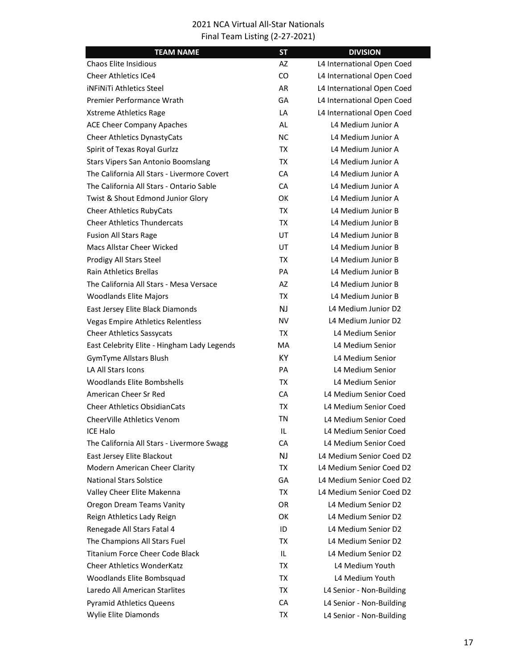| <b>TEAM NAME</b>                            | <b>ST</b>      | <b>DIVISION</b>            |
|---------------------------------------------|----------------|----------------------------|
| Chaos Elite Insidious                       | AZ             | L4 International Open Coed |
| <b>Cheer Athletics ICe4</b>                 | CO             | L4 International Open Coed |
| <b>INFINITI Athletics Steel</b>             | <b>AR</b>      | L4 International Open Coed |
| Premier Performance Wrath                   | GA             | L4 International Open Coed |
| Xstreme Athletics Rage                      | LA             | L4 International Open Coed |
| <b>ACE Cheer Company Apaches</b>            | <b>AL</b>      | L4 Medium Junior A         |
| Cheer Athletics DynastyCats                 | <b>NC</b>      | L4 Medium Junior A         |
| Spirit of Texas Royal Gurlzz                | TX             | L4 Medium Junior A         |
| Stars Vipers San Antonio Boomslang          | ТX             | L4 Medium Junior A         |
| The California All Stars - Livermore Covert | CA             | L4 Medium Junior A         |
| The California All Stars - Ontario Sable    | CA             | L4 Medium Junior A         |
| Twist & Shout Edmond Junior Glory           | ОK             | L4 Medium Junior A         |
| <b>Cheer Athletics RubyCats</b>             | <b>TX</b>      | L4 Medium Junior B         |
| <b>Cheer Athletics Thundercats</b>          | <b>TX</b>      | L4 Medium Junior B         |
| <b>Fusion All Stars Rage</b>                | UT             | L4 Medium Junior B         |
| Macs Allstar Cheer Wicked                   | UT             | L4 Medium Junior B         |
| Prodigy All Stars Steel                     | TX             | L4 Medium Junior B         |
| <b>Rain Athletics Brellas</b>               | PA             | L4 Medium Junior B         |
| The California All Stars - Mesa Versace     | AZ             | L4 Medium Junior B         |
| <b>Woodlands Elite Majors</b>               | <b>TX</b>      | L4 Medium Junior B         |
| East Jersey Elite Black Diamonds            | N <sub>J</sub> | L4 Medium Junior D2        |
| <b>Vegas Empire Athletics Relentless</b>    | <b>NV</b>      | L4 Medium Junior D2        |
| <b>Cheer Athletics Sassycats</b>            | TX.            | L4 Medium Senior           |
| East Celebrity Elite - Hingham Lady Legends | MA             | L4 Medium Senior           |
| <b>GymTyme Allstars Blush</b>               | <b>KY</b>      | L4 Medium Senior           |
| <b>LA All Stars Icons</b>                   | PA             | L4 Medium Senior           |
| <b>Woodlands Elite Bombshells</b>           | <b>TX</b>      | L4 Medium Senior           |
| American Cheer Sr Red                       | CA             | L4 Medium Senior Coed      |
| <b>Cheer Athletics ObsidianCats</b>         | TX             | L4 Medium Senior Coed      |
| <b>CheerVille Athletics Venom</b>           | ΤN             | L4 Medium Senior Coed      |
| <b>ICE Halo</b>                             | IL             | L4 Medium Senior Coed      |
| The California All Stars - Livermore Swagg  | CA             | L4 Medium Senior Coed      |
| East Jersey Elite Blackout                  | <b>NJ</b>      | L4 Medium Senior Coed D2   |
| Modern American Cheer Clarity               | TX             | L4 Medium Senior Coed D2   |
| <b>National Stars Solstice</b>              | GA             | L4 Medium Senior Coed D2   |
| Valley Cheer Elite Makenna                  | TX             | L4 Medium Senior Coed D2   |
| <b>Oregon Dream Teams Vanity</b>            | 0R             | L4 Medium Senior D2        |
| Reign Athletics Lady Reign                  | OK             | L4 Medium Senior D2        |
| Renegade All Stars Fatal 4                  | ID             | L4 Medium Senior D2        |
| The Champions All Stars Fuel                | ТX             | L4 Medium Senior D2        |
| <b>Titanium Force Cheer Code Black</b>      | IL             | L4 Medium Senior D2        |
| <b>Cheer Athletics WonderKatz</b>           | ТX             | L4 Medium Youth            |
| Woodlands Elite Bombsquad                   | TX             | L4 Medium Youth            |
| Laredo All American Starlites               | TX             | L4 Senior - Non-Building   |
| <b>Pyramid Athletics Queens</b>             | CA             | L4 Senior - Non-Building   |
| Wylie Elite Diamonds                        | ТX             | L4 Senior - Non-Building   |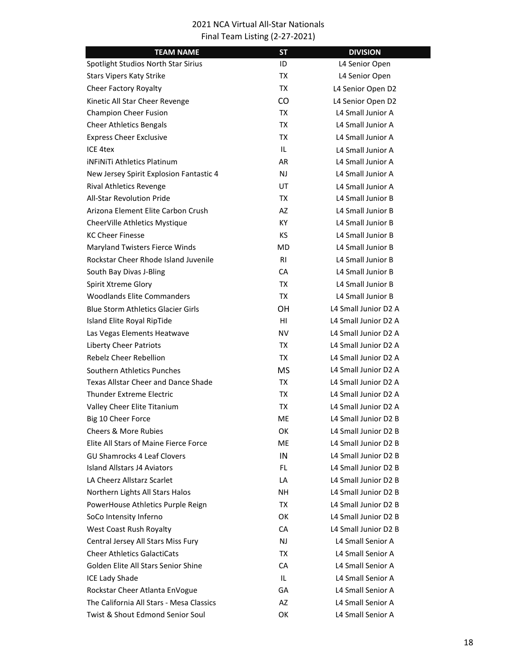| <b>TEAM NAME</b>                           | <b>ST</b>      | <b>DIVISION</b>      |
|--------------------------------------------|----------------|----------------------|
| Spotlight Studios North Star Sirius        | ID             | L4 Senior Open       |
| <b>Stars Vipers Katy Strike</b>            | TX             | L4 Senior Open       |
| Cheer Factory Royalty                      | TX             | L4 Senior Open D2    |
| Kinetic All Star Cheer Revenge             | CO.            | L4 Senior Open D2    |
| <b>Champion Cheer Fusion</b>               | TX             | L4 Small Junior A    |
| <b>Cheer Athletics Bengals</b>             | TX             | L4 Small Junior A    |
| <b>Express Cheer Exclusive</b>             | TX             | L4 Small Junior A    |
| ICE 4tex                                   | IL             | L4 Small Junior A    |
| iNFiNiTi Athletics Platinum                | AR             | L4 Small Junior A    |
| New Jersey Spirit Explosion Fantastic 4    | <b>NJ</b>      | L4 Small Junior A    |
| <b>Rival Athletics Revenge</b>             | UT             | L4 Small Junior A    |
| <b>All-Star Revolution Pride</b>           | TX             | L4 Small Junior B    |
| Arizona Element Elite Carbon Crush         | AZ             | L4 Small Junior B    |
| CheerVille Athletics Mystique              | KY.            | 14 Small Junior B    |
| <b>KC Cheer Finesse</b>                    | KS.            | L4 Small Junior B    |
| Maryland Twisters Fierce Winds             | MD             | L4 Small Junior B    |
| Rockstar Cheer Rhode Island Juvenile       | R <sub>1</sub> | L4 Small Junior B    |
| South Bay Divas J-Bling                    | СA             | L4 Small Junior B    |
| Spirit Xtreme Glory                        | TX             | L4 Small Junior B    |
| <b>Woodlands Elite Commanders</b>          | TX             | L4 Small Junior B    |
| <b>Blue Storm Athletics Glacier Girls</b>  | OН             | L4 Small Junior D2 A |
| Island Elite Royal RipTide                 | HI             | L4 Small Junior D2 A |
| Las Vegas Elements Heatwave                | NV             | L4 Small Junior D2 A |
| <b>Liberty Cheer Patriots</b>              | TX             | L4 Small Junior D2 A |
| Rebelz Cheer Rebellion                     | TX             | L4 Small Junior D2 A |
| Southern Athletics Punches                 | <b>MS</b>      | L4 Small Junior D2 A |
| <b>Texas Allstar Cheer and Dance Shade</b> | TX             | 14 Small Junior D2 A |
| <b>Thunder Extreme Electric</b>            | TX             | L4 Small Junior D2 A |
| Valley Cheer Elite Titanium                | TX             | L4 Small Junior D2 A |
| Big 10 Cheer Force                         | МE             | L4 Small Junior D2 B |
| <b>Cheers &amp; More Rubies</b>            | OK             | L4 Small Junior D2 B |
| Elite All Stars of Maine Fierce Force      | ME             | L4 Small Junior D2 B |
| <b>GU Shamrocks 4 Leaf Clovers</b>         | IN             | L4 Small Junior D2 B |
| <b>Island Allstars J4 Aviators</b>         | FL.            | L4 Small Junior D2 B |
| LA Cheerz Allstarz Scarlet                 | LA             | L4 Small Junior D2 B |
| Northern Lights All Stars Halos            | NΗ             | L4 Small Junior D2 B |
| PowerHouse Athletics Purple Reign          | TX             | L4 Small Junior D2 B |
| SoCo Intensity Inferno                     | OK             | L4 Small Junior D2 B |
| West Coast Rush Royalty                    | <b>CA</b>      | L4 Small Junior D2 B |
| Central Jersey All Stars Miss Fury         | NJ             | L4 Small Senior A    |
| <b>Cheer Athletics GalactiCats</b>         | TX             | L4 Small Senior A    |
| Golden Elite All Stars Senior Shine        | CA             | L4 Small Senior A    |
| ICE Lady Shade                             | IL             | L4 Small Senior A    |
| Rockstar Cheer Atlanta EnVogue             | GA             | L4 Small Senior A    |
| The California All Stars - Mesa Classics   | AZ             | L4 Small Senior A    |
| Twist & Shout Edmond Senior Soul           | OK             | L4 Small Senior A    |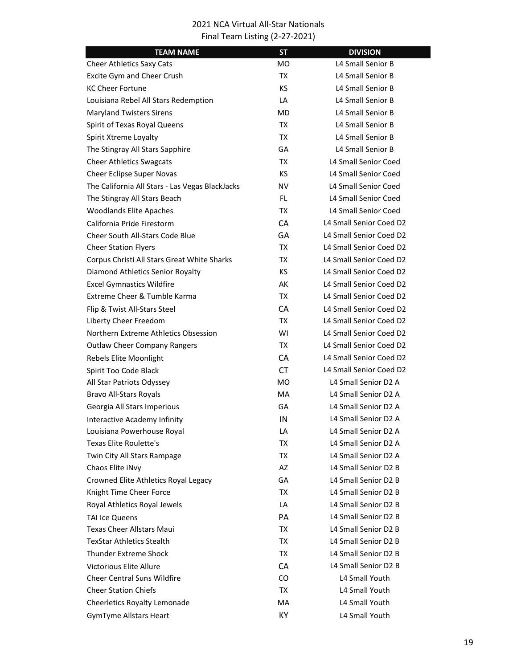| <b>TEAM NAME</b>                                | <b>ST</b> | <b>DIVISION</b>         |
|-------------------------------------------------|-----------|-------------------------|
| <b>Cheer Athletics Saxy Cats</b>                | MО        | L4 Small Senior B       |
| Excite Gym and Cheer Crush                      | TX        | L4 Small Senior B       |
| <b>KC Cheer Fortune</b>                         | KS.       | L4 Small Senior B       |
| Louisiana Rebel All Stars Redemption            | LA        | L4 Small Senior B       |
| <b>Maryland Twisters Sirens</b>                 | MD        | L4 Small Senior B       |
| Spirit of Texas Royal Queens                    | TX        | L4 Small Senior B       |
| Spirit Xtreme Loyalty                           | TX        | L4 Small Senior B       |
| The Stingray All Stars Sapphire                 | GA        | L4 Small Senior B       |
| <b>Cheer Athletics Swagcats</b>                 | TX        | L4 Small Senior Coed    |
| Cheer Eclipse Super Novas                       | KS.       | L4 Small Senior Coed    |
| The California All Stars - Las Vegas BlackJacks | NV        | L4 Small Senior Coed    |
| The Stingray All Stars Beach                    | FL.       | L4 Small Senior Coed    |
| <b>Woodlands Elite Apaches</b>                  | TX        | L4 Small Senior Coed    |
| California Pride Firestorm                      | CA        | L4 Small Senior Coed D2 |
| <b>Cheer South All-Stars Code Blue</b>          | GΑ        | L4 Small Senior Coed D2 |
| <b>Cheer Station Flyers</b>                     | TX        | L4 Small Senior Coed D2 |
| Corpus Christi All Stars Great White Sharks     | TX        | L4 Small Senior Coed D2 |
| Diamond Athletics Senior Royalty                | <b>KS</b> | L4 Small Senior Coed D2 |
| <b>Excel Gymnastics Wildfire</b>                | AK        | L4 Small Senior Coed D2 |
| Extreme Cheer & Tumble Karma                    | TX        | L4 Small Senior Coed D2 |
| Flip & Twist All-Stars Steel                    | <b>CA</b> | L4 Small Senior Coed D2 |
| Liberty Cheer Freedom                           | TX        | L4 Small Senior Coed D2 |
| Northern Extreme Athletics Obsession            | WI        | L4 Small Senior Coed D2 |
| <b>Outlaw Cheer Company Rangers</b>             | TX        | L4 Small Senior Coed D2 |
| Rebels Elite Moonlight                          | CA        | L4 Small Senior Coed D2 |
| Spirit Too Code Black                           | <b>CT</b> | L4 Small Senior Coed D2 |
| All Star Patriots Odyssey                       | <b>MO</b> | L4 Small Senior D2 A    |
| <b>Bravo All-Stars Royals</b>                   | <b>MA</b> | L4 Small Senior D2 A    |
| Georgia All Stars Imperious                     | GA        | L4 Small Senior D2 A    |
| Interactive Academy Infinity                    | IN        | L4 Small Senior D2 A    |
| Louisiana Powerhouse Royal                      | LA        | L4 Small Senior D2 A    |
| <b>Texas Elite Roulette's</b>                   | TX        | L4 Small Senior D2 A    |
| Twin City All Stars Rampage                     | TX        | L4 Small Senior D2 A    |
| Chaos Elite iNvy                                | AZ        | L4 Small Senior D2 B    |
| Crowned Elite Athletics Royal Legacy            | GA        | L4 Small Senior D2 B    |
| Knight Time Cheer Force                         | TX        | L4 Small Senior D2 B    |
| Royal Athletics Royal Jewels                    | LA        | L4 Small Senior D2 B    |
| <b>TAI Ice Queens</b>                           | PA        | L4 Small Senior D2 B    |
| <b>Texas Cheer Allstars Maui</b>                | TX        | L4 Small Senior D2 B    |
| <b>TexStar Athletics Stealth</b>                | TX        | L4 Small Senior D2 B    |
| <b>Thunder Extreme Shock</b>                    | TX        | L4 Small Senior D2 B    |
| <b>Victorious Elite Allure</b>                  | <b>CA</b> | L4 Small Senior D2 B    |
| <b>Cheer Central Suns Wildfire</b>              | CO.       | L4 Small Youth          |
| <b>Cheer Station Chiefs</b>                     | TX        | L4 Small Youth          |
| Cheerletics Royalty Lemonade                    | MA        | L4 Small Youth          |
| <b>GymTyme Allstars Heart</b>                   | KY        | L4 Small Youth          |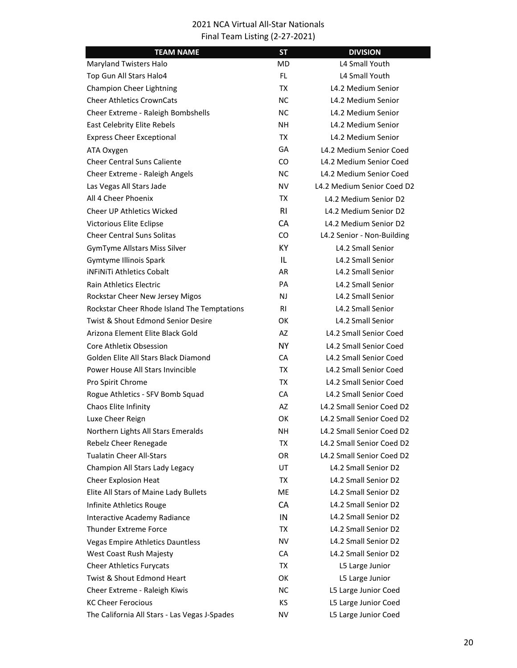| <b>TEAM NAME</b>                              | <b>ST</b>      | <b>DIVISION</b>            |
|-----------------------------------------------|----------------|----------------------------|
| Maryland Twisters Halo                        | MD.            | L4 Small Youth             |
| Top Gun All Stars Halo4                       | FL.            | L4 Small Youth             |
| Champion Cheer Lightning                      | TX             | L4.2 Medium Senior         |
| <b>Cheer Athletics CrownCats</b>              | NC.            | L4.2 Medium Senior         |
| Cheer Extreme - Raleigh Bombshells            | NC.            | L4.2 Medium Senior         |
| East Celebrity Elite Rebels                   | NΗ             | L4.2 Medium Senior         |
| <b>Express Cheer Exceptional</b>              | TX             | L4.2 Medium Senior         |
| ATA Oxygen                                    | GA             | L4.2 Medium Senior Coed    |
| <b>Cheer Central Suns Caliente</b>            | CO.            | L4.2 Medium Senior Coed    |
| Cheer Extreme - Raleigh Angels                | <b>NC</b>      | L4.2 Medium Senior Coed    |
| Las Vegas All Stars Jade                      | NV             | L4.2 Medium Senior Coed D2 |
| All 4 Cheer Phoenix                           | TX             | L4.2 Medium Senior D2      |
| <b>Cheer UP Athletics Wicked</b>              | R <sub>l</sub> | L4.2 Medium Senior D2      |
| Victorious Elite Eclipse                      | <b>CA</b>      | L4.2 Medium Senior D2      |
| <b>Cheer Central Suns Solitas</b>             | CO.            | L4.2 Senior - Non-Building |
| <b>GymTyme Allstars Miss Silver</b>           | KY.            | L4.2 Small Senior          |
| Gymtyme Illinois Spark                        | IL             | L4.2 Small Senior          |
| <b>iNFINITI Athletics Cobalt</b>              | AR             | L4.2 Small Senior          |
| <b>Rain Athletics Electric</b>                | PA             | L4.2 Small Senior          |
| Rockstar Cheer New Jersey Migos               | <b>NJ</b>      | L4.2 Small Senior          |
| Rockstar Cheer Rhode Island The Temptations   | RI             | L4.2 Small Senior          |
| Twist & Shout Edmond Senior Desire            | ОΚ             | L4.2 Small Senior          |
| Arizona Element Elite Black Gold              | AZ             | L4.2 Small Senior Coed     |
| Core Athletix Obsession                       | <b>NY</b>      | L4.2 Small Senior Coed     |
| Golden Elite All Stars Black Diamond          | CA             | L4.2 Small Senior Coed     |
| Power House All Stars Invincible              | TX             | L4.2 Small Senior Coed     |
| Pro Spirit Chrome                             | TX             | L4.2 Small Senior Coed     |
| Rogue Athletics - SFV Bomb Squad              | CA             | L4.2 Small Senior Coed     |
| Chaos Elite Infinity                          | AZ             | L4.2 Small Senior Coed D2  |
| Luxe Cheer Reign                              | ОΚ             | L4.2 Small Senior Coed D2  |
| Northern Lights All Stars Emeralds            | NΗ             | L4.2 Small Senior Coed D2  |
| Rebelz Cheer Renegade                         | <b>TX</b>      | L4.2 Small Senior Coed D2  |
| <b>Tualatin Cheer All-Stars</b>               | OR.            | L4.2 Small Senior Coed D2  |
| Champion All Stars Lady Legacy                | UT             | L4.2 Small Senior D2       |
| <b>Cheer Explosion Heat</b>                   | TX             | L4.2 Small Senior D2       |
| Elite All Stars of Maine Lady Bullets         | МE             | L4.2 Small Senior D2       |
| Infinite Athletics Rouge                      | CA             | L4.2 Small Senior D2       |
| <b>Interactive Academy Radiance</b>           | IN             | L4.2 Small Senior D2       |
| <b>Thunder Extreme Force</b>                  | TX             | L4.2 Small Senior D2       |
| <b>Vegas Empire Athletics Dauntless</b>       | ΝV             | L4.2 Small Senior D2       |
| West Coast Rush Majesty                       | CA             | L4.2 Small Senior D2       |
| <b>Cheer Athletics Furycats</b>               | TX             | L5 Large Junior            |
| <b>Twist &amp; Shout Edmond Heart</b>         | ОΚ             | L5 Large Junior            |
| Cheer Extreme - Raleigh Kiwis                 | NC.            | L5 Large Junior Coed       |
| <b>KC Cheer Ferocious</b>                     | KS             | L5 Large Junior Coed       |
| The California All Stars - Las Vegas J-Spades | NV             | L5 Large Junior Coed       |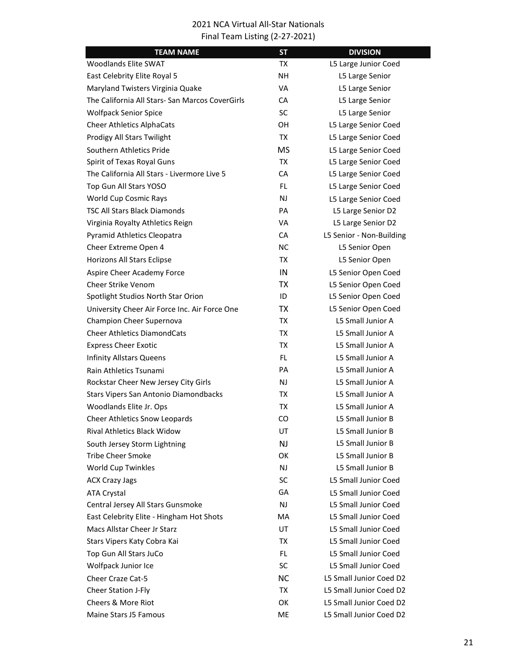| <b>TEAM NAME</b>                                | <b>ST</b> | <b>DIVISION</b>             |
|-------------------------------------------------|-----------|-----------------------------|
| Woodlands Elite SWAT                            | TX        | L5 Large Junior Coed        |
| East Celebrity Elite Royal 5                    | NΗ        | L5 Large Senior             |
| Maryland Twisters Virginia Quake                | <b>VA</b> | L5 Large Senior             |
| The California All Stars- San Marcos CoverGirls | CA        | L5 Large Senior             |
| <b>Wolfpack Senior Spice</b>                    | <b>SC</b> | L5 Large Senior             |
| <b>Cheer Athletics AlphaCats</b>                | OН        | L5 Large Senior Coed        |
| Prodigy All Stars Twilight                      | <b>TX</b> | L5 Large Senior Coed        |
| Southern Athletics Pride                        | <b>MS</b> | L5 Large Senior Coed        |
| Spirit of Texas Royal Guns                      | TX        | L5 Large Senior Coed        |
| The California All Stars - Livermore Live 5     | <b>CA</b> | L5 Large Senior Coed        |
| Top Gun All Stars YOSO                          | FL.       | L5 Large Senior Coed        |
| World Cup Cosmic Rays                           | NJ        | L5 Large Senior Coed        |
| <b>TSC All Stars Black Diamonds</b>             | PA        | L5 Large Senior D2          |
| Virginia Royalty Athletics Reign                | VA        | L5 Large Senior D2          |
| Pyramid Athletics Cleopatra                     | CA        | L5 Senior - Non-Building    |
| Cheer Extreme Open 4                            | <b>NC</b> | L5 Senior Open              |
| Horizons All Stars Eclipse                      | TX        | L5 Senior Open              |
| Aspire Cheer Academy Force                      | IN        | L5 Senior Open Coed         |
| <b>Cheer Strike Venom</b>                       | <b>TX</b> | L5 Senior Open Coed         |
| Spotlight Studios North Star Orion              | ID        | L5 Senior Open Coed         |
| University Cheer Air Force Inc. Air Force One   | <b>TX</b> | L5 Senior Open Coed         |
| Champion Cheer Supernova                        | TX        | L5 Small Junior A           |
| <b>Cheer Athletics DiamondCats</b>              | TX        | L5 Small Junior A           |
| <b>Express Cheer Exotic</b>                     | TX        | L5 Small Junior A           |
| <b>Infinity Allstars Queens</b>                 | FL.       | L5 Small Junior A           |
| Rain Athletics Tsunami                          | PA        | L5 Small Junior A           |
| Rockstar Cheer New Jersey City Girls            | NJ        | L5 Small Junior A           |
| Stars Vipers San Antonio Diamondbacks           | TX        | L5 Small Junior A           |
| Woodlands Elite Jr. Ops                         | TX        | L5 Small Junior A           |
| <b>Cheer Athletics Snow Leopards</b>            | CO.       | L5 Small Junior B           |
| Rival Athletics Black Widow                     | UT        | L5 Small Junior B           |
| South Jersey Storm Lightning                    | NJ        | L5 Small Junior B           |
| <b>Tribe Cheer Smoke</b>                        | OK        | L5 Small Junior B           |
| World Cup Twinkles                              | NJ.       | L5 Small Junior B           |
| <b>ACX Crazy Jags</b>                           | SC        | L5 Small Junior Coed        |
| <b>ATA Crystal</b>                              | GA        | <b>L5 Small Junior Coed</b> |
| Central Jersey All Stars Gunsmoke               | NJ        | L5 Small Junior Coed        |
| East Celebrity Elite - Hingham Hot Shots        | MA        | L5 Small Junior Coed        |
| Macs Allstar Cheer Jr Starz                     | UT        | L5 Small Junior Coed        |
| Stars Vipers Katy Cobra Kai                     | TX        | L5 Small Junior Coed        |
| Top Gun All Stars JuCo                          | FL.       | <b>L5 Small Junior Coed</b> |
| Wolfpack Junior Ice                             | SC        | L5 Small Junior Coed        |
| <b>Cheer Craze Cat-5</b>                        | <b>NC</b> | L5 Small Junior Coed D2     |
| <b>Cheer Station J-Fly</b>                      | TX        | L5 Small Junior Coed D2     |
| Cheers & More Riot                              | OK        | L5 Small Junior Coed D2     |
| Maine Stars J5 Famous                           | ME        | L5 Small Junior Coed D2     |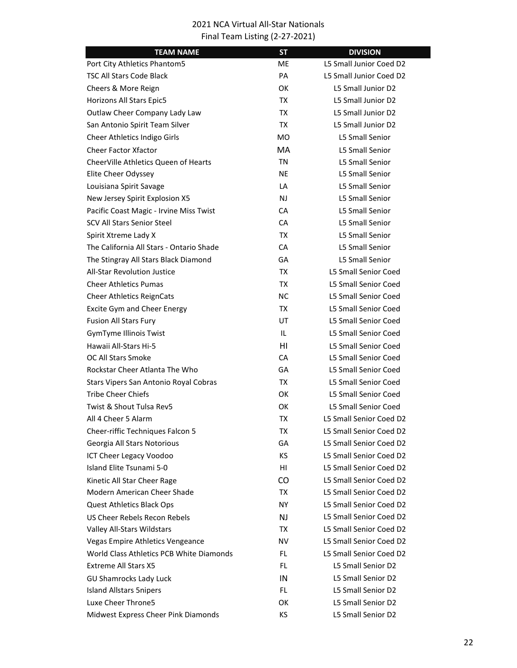| <b>TEAM NAME</b>                         | <b>ST</b> | <b>DIVISION</b>             |
|------------------------------------------|-----------|-----------------------------|
| Port City Athletics Phantom5             | ME.       | L5 Small Junior Coed D2     |
| <b>TSC All Stars Code Black</b>          | PA        | L5 Small Junior Coed D2     |
| Cheers & More Reign                      | ОΚ        | L5 Small Junior D2          |
| Horizons All Stars Epic5                 | TX        | L5 Small Junior D2          |
| Outlaw Cheer Company Lady Law            | TX        | L5 Small Junior D2          |
| San Antonio Spirit Team Silver           | TX        | L5 Small Junior D2          |
| Cheer Athletics Indigo Girls             | MO.       | <b>L5 Small Senior</b>      |
| <b>Cheer Factor Xfactor</b>              | <b>MA</b> | <b>L5 Small Senior</b>      |
| CheerVille Athletics Queen of Hearts     | ΤN        | <b>L5 Small Senior</b>      |
| Elite Cheer Odyssey                      | <b>NE</b> | <b>L5 Small Senior</b>      |
| Louisiana Spirit Savage                  | LA        | L5 Small Senior             |
| New Jersey Spirit Explosion X5           | NJ.       | <b>L5 Small Senior</b>      |
| Pacific Coast Magic - Irvine Miss Twist  | <b>CA</b> | <b>L5 Small Senior</b>      |
| SCV All Stars Senior Steel               | CA        | <b>L5 Small Senior</b>      |
| Spirit Xtreme Lady X                     | TX        | <b>L5 Small Senior</b>      |
| The California All Stars - Ontario Shade | <b>CA</b> | <b>L5 Small Senior</b>      |
| The Stingray All Stars Black Diamond     | GA        | <b>L5 Small Senior</b>      |
| <b>All-Star Revolution Justice</b>       | TX        | <b>L5 Small Senior Coed</b> |
| <b>Cheer Athletics Pumas</b>             | TX        | <b>L5 Small Senior Coed</b> |
| <b>Cheer Athletics ReignCats</b>         | NС        | <b>L5 Small Senior Coed</b> |
| <b>Excite Gym and Cheer Energy</b>       | TX        | <b>L5 Small Senior Coed</b> |
| <b>Fusion All Stars Fury</b>             | UT        | <b>L5 Small Senior Coed</b> |
| GymTyme Illinois Twist                   | IL.       | <b>L5 Small Senior Coed</b> |
| Hawaii All-Stars Hi-5                    | HI        | <b>L5 Small Senior Coed</b> |
| <b>OC All Stars Smoke</b>                | CA        | <b>L5 Small Senior Coed</b> |
| Rockstar Cheer Atlanta The Who           | GA        | L5 Small Senior Coed        |
| Stars Vipers San Antonio Royal Cobras    | TX        | <b>L5 Small Senior Coed</b> |
| Tribe Cheer Chiefs                       | ОΚ        | L5 Small Senior Coed        |
| Twist & Shout Tulsa Rev5                 | ОΚ        | <b>L5 Small Senior Coed</b> |
| All 4 Cheer 5 Alarm                      | TX        | L5 Small Senior Coed D2     |
| Cheer-riffic Techniques Falcon 5         | TX        | L5 Small Senior Coed D2     |
| Georgia All Stars Notorious              | GA        | L5 Small Senior Coed D2     |
| ICT Cheer Legacy Voodoo                  | KS.       | L5 Small Senior Coed D2     |
| Island Elite Tsunami 5-0                 | HI        | L5 Small Senior Coed D2     |
| Kinetic All Star Cheer Rage              | CO        | L5 Small Senior Coed D2     |
| Modern American Cheer Shade              | TX        | L5 Small Senior Coed D2     |
| Quest Athletics Black Ops                | NY.       | L5 Small Senior Coed D2     |
| US Cheer Rebels Recon Rebels             | NJ.       | L5 Small Senior Coed D2     |
| Valley All-Stars Wildstars               | TX        | L5 Small Senior Coed D2     |
| Vegas Empire Athletics Vengeance         | NV.       | L5 Small Senior Coed D2     |
| World Class Athletics PCB White Diamonds | FL.       | L5 Small Senior Coed D2     |
| <b>Extreme All Stars X5</b>              | FL.       | L5 Small Senior D2          |
| <b>GU Shamrocks Lady Luck</b>            | IN        | L5 Small Senior D2          |
| <b>Island Allstars 5nipers</b>           | FL.       | L5 Small Senior D2          |
| Luxe Cheer Throne5                       | OK        | L5 Small Senior D2          |
| Midwest Express Cheer Pink Diamonds      | KS.       | L5 Small Senior D2          |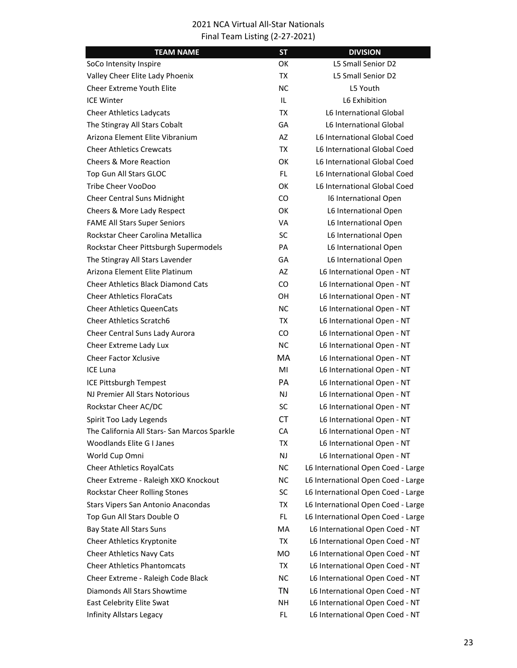| <b>TEAM NAME</b>                             | <b>ST</b> | <b>DIVISION</b>                    |
|----------------------------------------------|-----------|------------------------------------|
| SoCo Intensity Inspire                       | OK        | L5 Small Senior D2                 |
| Valley Cheer Elite Lady Phoenix              | TX        | L5 Small Senior D2                 |
| <b>Cheer Extreme Youth Elite</b>             | NC.       | L5 Youth                           |
| <b>ICE Winter</b>                            | IL        | L6 Exhibition                      |
| <b>Cheer Athletics Ladycats</b>              | TX        | L6 International Global            |
| The Stingray All Stars Cobalt                | GA        | L6 International Global            |
| Arizona Element Elite Vibranium              | AZ        | L6 International Global Coed       |
| <b>Cheer Athletics Crewcats</b>              | TX        | L6 International Global Coed       |
| <b>Cheers &amp; More Reaction</b>            | <b>OK</b> | L6 International Global Coed       |
| Top Gun All Stars GLOC                       | FL.       | L6 International Global Coed       |
| Tribe Cheer VooDoo                           | 0K        | L6 International Global Coed       |
| Cheer Central Suns Midnight                  | CO.       | 16 International Open              |
| Cheers & More Lady Respect                   | OK        | L6 International Open              |
| <b>FAME All Stars Super Seniors</b>          | VA        | L6 International Open              |
| Rockstar Cheer Carolina Metallica            | SC        | L6 International Open              |
| Rockstar Cheer Pittsburgh Supermodels        | PA        | L6 International Open              |
| The Stingray All Stars Lavender              | GA        | L6 International Open              |
| Arizona Element Elite Platinum               | AZ        | L6 International Open - NT         |
| <b>Cheer Athletics Black Diamond Cats</b>    | CO.       | L6 International Open - NT         |
| <b>Cheer Athletics FloraCats</b>             | OН        | L6 International Open - NT         |
| <b>Cheer Athletics QueenCats</b>             | NC.       | L6 International Open - NT         |
| <b>Cheer Athletics Scratch6</b>              | TX        | L6 International Open - NT         |
| Cheer Central Suns Lady Aurora               | CO.       | L6 International Open - NT         |
| Cheer Extreme Lady Lux                       | NС        | L6 International Open - NT         |
| <b>Cheer Factor Xclusive</b>                 | MA        | L6 International Open - NT         |
| <b>ICE Luna</b>                              | MI        | L6 International Open - NT         |
| ICE Pittsburgh Tempest                       | <b>PA</b> | L6 International Open - NT         |
| NJ Premier All Stars Notorious               | NJ        | L6 International Open - NT         |
| Rockstar Cheer AC/DC                         | SC        | L6 International Open - NT         |
| Spirit Too Lady Legends                      | <b>CT</b> | L6 International Open - NT         |
| The California All Stars- San Marcos Sparkle | CA        | L6 International Open - NT         |
| Woodlands Elite G I Janes                    | TX        | L6 International Open - NT         |
| World Cup Omni                               | <b>NJ</b> | L6 International Open - NT         |
| <b>Cheer Athletics RoyalCats</b>             | NC.       | L6 International Open Coed - Large |
| Cheer Extreme - Raleigh XKO Knockout         | NC.       | L6 International Open Coed - Large |
| Rockstar Cheer Rolling Stones                | <b>SC</b> | L6 International Open Coed - Large |
| Stars Vipers San Antonio Anacondas           | TX        | L6 International Open Coed - Large |
| Top Gun All Stars Double O                   | FL.       | L6 International Open Coed - Large |
| Bay State All Stars Suns                     | MA        | L6 International Open Coed - NT    |
| Cheer Athletics Kryptonite                   | TX        | L6 International Open Coed - NT    |
| <b>Cheer Athletics Navy Cats</b>             | <b>MO</b> | L6 International Open Coed - NT    |
| <b>Cheer Athletics Phantomcats</b>           | TX        | L6 International Open Coed - NT    |
| Cheer Extreme - Raleigh Code Black           | NC.       | L6 International Open Coed - NT    |
| Diamonds All Stars Showtime                  | <b>TN</b> | L6 International Open Coed - NT    |
| East Celebrity Elite Swat                    | NH        | L6 International Open Coed - NT    |
| Infinity Allstars Legacy                     | FL        | L6 International Open Coed - NT    |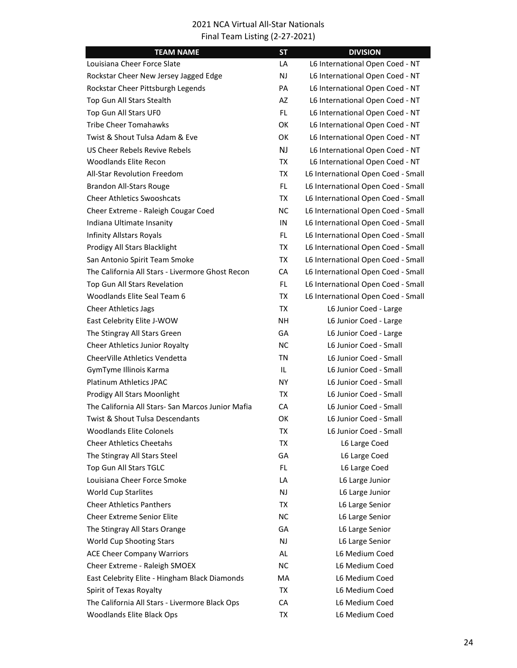| <b>TEAM NAME</b>                                  | <b>ST</b> | <b>DIVISION</b>                    |
|---------------------------------------------------|-----------|------------------------------------|
| Louisiana Cheer Force Slate                       | LA        | L6 International Open Coed - NT    |
| Rockstar Cheer New Jersey Jagged Edge             | <b>NJ</b> | L6 International Open Coed - NT    |
| Rockstar Cheer Pittsburgh Legends                 | PA        | L6 International Open Coed - NT    |
| Top Gun All Stars Stealth                         | <b>AZ</b> | L6 International Open Coed - NT    |
| Top Gun All Stars UF0                             | FL.       | L6 International Open Coed - NT    |
| <b>Tribe Cheer Tomahawks</b>                      | OK        | L6 International Open Coed - NT    |
| Twist & Shout Tulsa Adam & Eve                    | ОΚ        | L6 International Open Coed - NT    |
| US Cheer Rebels Revive Rebels                     | <b>NJ</b> | L6 International Open Coed - NT    |
| <b>Woodlands Elite Recon</b>                      | ТX        | L6 International Open Coed - NT    |
| <b>All-Star Revolution Freedom</b>                | ТX        | L6 International Open Coed - Small |
| <b>Brandon All-Stars Rouge</b>                    | FL.       | L6 International Open Coed - Small |
| <b>Cheer Athletics Swooshcats</b>                 | ТX        | L6 International Open Coed - Small |
| Cheer Extreme - Raleigh Cougar Coed               | <b>NC</b> | L6 International Open Coed - Small |
| Indiana Ultimate Insanity                         | IN        | L6 International Open Coed - Small |
| <b>Infinity Allstars Royals</b>                   | FL.       | L6 International Open Coed - Small |
| Prodigy All Stars Blacklight                      | ТX        | L6 International Open Coed - Small |
| San Antonio Spirit Team Smoke                     | ТX        | L6 International Open Coed - Small |
| The California All Stars - Livermore Ghost Recon  | CA        | L6 International Open Coed - Small |
| Top Gun All Stars Revelation                      | FL.       | L6 International Open Coed - Small |
| Woodlands Elite Seal Team 6                       | ТX        | L6 International Open Coed - Small |
| <b>Cheer Athletics Jags</b>                       | TX        | L6 Junior Coed - Large             |
| East Celebrity Elite J-WOW                        | <b>NH</b> | L6 Junior Coed - Large             |
| The Stingray All Stars Green                      | GA        | L6 Junior Coed - Large             |
| <b>Cheer Athletics Junior Royalty</b>             | <b>NC</b> | L6 Junior Coed - Small             |
| CheerVille Athletics Vendetta                     | ΤN        | L6 Junior Coed - Small             |
| GymTyme Illinois Karma                            | IL        | L6 Junior Coed - Small             |
| Platinum Athletics JPAC                           | NY.       | L6 Junior Coed - Small             |
| Prodigy All Stars Moonlight                       | ТX        | L6 Junior Coed - Small             |
| The California All Stars- San Marcos Junior Mafia | CA        | L6 Junior Coed - Small             |
| <b>Twist &amp; Shout Tulsa Descendants</b>        | ОΚ        | L6 Junior Coed - Small             |
| <b>Woodlands Elite Colonels</b>                   | ТX        | L6 Junior Coed - Small             |
| <b>Cheer Athletics Cheetahs</b>                   | TX        | L6 Large Coed                      |
| The Stingray All Stars Steel                      | GA        | L6 Large Coed                      |
| Top Gun All Stars TGLC                            | FL.       | L6 Large Coed                      |
| Louisiana Cheer Force Smoke                       | LA        | L6 Large Junior                    |
| <b>World Cup Starlites</b>                        | NJ        | L6 Large Junior                    |
| <b>Cheer Athletics Panthers</b>                   | TX        | L6 Large Senior                    |
| <b>Cheer Extreme Senior Elite</b>                 | <b>NC</b> | L6 Large Senior                    |
| The Stingray All Stars Orange                     | GA        | L6 Large Senior                    |
| World Cup Shooting Stars                          | NJ        | L6 Large Senior                    |
| <b>ACE Cheer Company Warriors</b>                 | AL        | L6 Medium Coed                     |
| Cheer Extreme - Raleigh SMOEX                     | <b>NC</b> | L6 Medium Coed                     |
| East Celebrity Elite - Hingham Black Diamonds     | MA        | L6 Medium Coed                     |
| Spirit of Texas Royalty                           | TX        | L6 Medium Coed                     |
| The California All Stars - Livermore Black Ops    | CA        | L6 Medium Coed                     |
| Woodlands Elite Black Ops                         | TX        | L6 Medium Coed                     |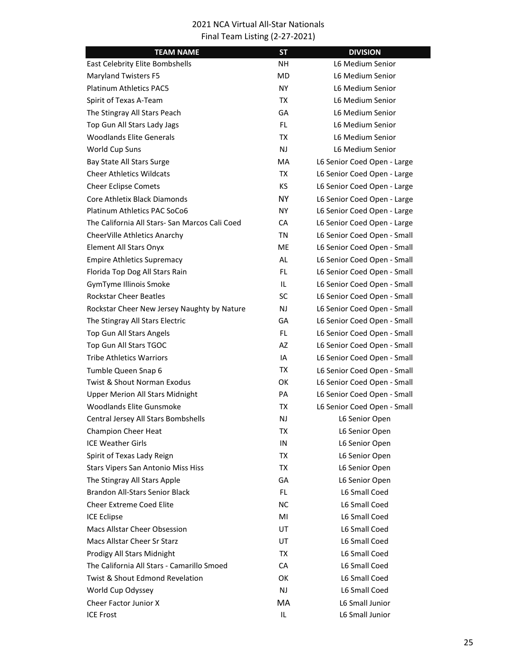| <b>TEAM NAME</b>                               | <b>ST</b> | <b>DIVISION</b>             |
|------------------------------------------------|-----------|-----------------------------|
| East Celebrity Elite Bombshells                | NΗ        | L6 Medium Senior            |
| <b>Maryland Twisters F5</b>                    | MD        | L6 Medium Senior            |
| <b>Platinum Athletics PAC5</b>                 | <b>NY</b> | L6 Medium Senior            |
| Spirit of Texas A-Team                         | TX        | L6 Medium Senior            |
| The Stingray All Stars Peach                   | GA        | L6 Medium Senior            |
| Top Gun All Stars Lady Jags                    | FL.       | L6 Medium Senior            |
| <b>Woodlands Elite Generals</b>                | TX        | L6 Medium Senior            |
| World Cup Suns                                 | NJ        | L6 Medium Senior            |
| Bay State All Stars Surge                      | MA        | L6 Senior Coed Open - Large |
| <b>Cheer Athletics Wildcats</b>                | TX        | L6 Senior Coed Open - Large |
| <b>Cheer Eclipse Comets</b>                    | КS        | L6 Senior Coed Open - Large |
| Core Athletix Black Diamonds                   | NY.       | L6 Senior Coed Open - Large |
| Platinum Athletics PAC SoCo6                   | NY.       | L6 Senior Coed Open - Large |
| The California All Stars- San Marcos Cali Coed | CA        | L6 Senior Coed Open - Large |
| CheerVille Athletics Anarchy                   | ΤN        | L6 Senior Coed Open - Small |
| Element All Stars Onyx                         | ME.       | L6 Senior Coed Open - Small |
| <b>Empire Athletics Supremacy</b>              | <b>AL</b> | L6 Senior Coed Open - Small |
| Florida Top Dog All Stars Rain                 | <b>FL</b> | L6 Senior Coed Open - Small |
| GymTyme Illinois Smoke                         | IL        | L6 Senior Coed Open - Small |
| <b>Rockstar Cheer Beatles</b>                  | <b>SC</b> | L6 Senior Coed Open - Small |
| Rockstar Cheer New Jersey Naughty by Nature    | NJ        | L6 Senior Coed Open - Small |
| The Stingray All Stars Electric                | GA        | L6 Senior Coed Open - Small |
| Top Gun All Stars Angels                       | FL.       | L6 Senior Coed Open - Small |
| Top Gun All Stars TGOC                         | AZ        | L6 Senior Coed Open - Small |
| <b>Tribe Athletics Warriors</b>                | IA        | L6 Senior Coed Open - Small |
| Tumble Queen Snap 6                            | TX        | L6 Senior Coed Open - Small |
| Twist & Shout Norman Exodus                    | ОΚ        | L6 Senior Coed Open - Small |
| <b>Upper Merion All Stars Midnight</b>         | PA        | L6 Senior Coed Open - Small |
| <b>Woodlands Elite Gunsmoke</b>                | TX        | L6 Senior Coed Open - Small |
| Central Jersey All Stars Bombshells            | NJ        | L6 Senior Open              |
| <b>Champion Cheer Heat</b>                     | ТX        | L6 Senior Open              |
| <b>ICE Weather Girls</b>                       | IN        | L6 Senior Open              |
| Spirit of Texas Lady Reign                     | TX        | L6 Senior Open              |
| Stars Vipers San Antonio Miss Hiss             | TX        | L6 Senior Open              |
| The Stingray All Stars Apple                   | GA        | L6 Senior Open              |
| <b>Brandon All-Stars Senior Black</b>          | FL.       | L6 Small Coed               |
| <b>Cheer Extreme Coed Elite</b>                | NС        | L6 Small Coed               |
| <b>ICE Eclipse</b>                             | MI        | L6 Small Coed               |
| Macs Allstar Cheer Obsession                   | UT        | L6 Small Coed               |
| Macs Allstar Cheer Sr Starz                    | UT        | L6 Small Coed               |
| Prodigy All Stars Midnight                     | TX        | L6 Small Coed               |
| The California All Stars - Camarillo Smoed     | CA        | L6 Small Coed               |
| <b>Twist &amp; Shout Edmond Revelation</b>     | ОK        | L6 Small Coed               |
| World Cup Odyssey                              | NJ        | L6 Small Coed               |
| Cheer Factor Junior X                          | MA.       | L6 Small Junior             |
| <b>ICE Frost</b>                               | IL        | L6 Small Junior             |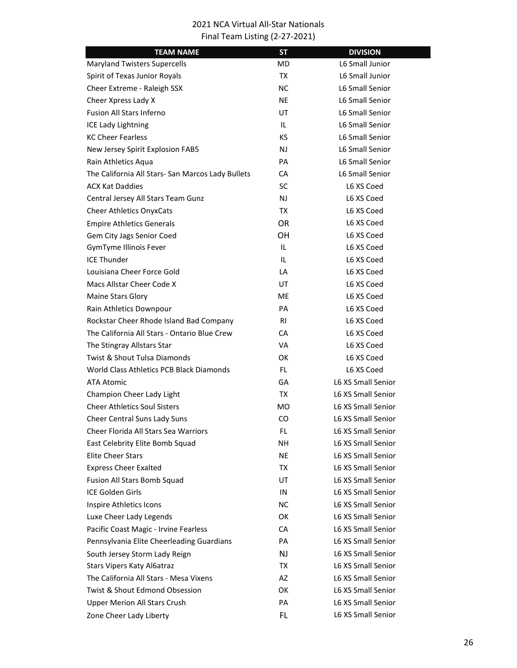| <b>TEAM NAME</b>                                  | <b>ST</b> | <b>DIVISION</b>           |
|---------------------------------------------------|-----------|---------------------------|
| <b>Maryland Twisters Supercells</b>               | MD.       | L6 Small Junior           |
| Spirit of Texas Junior Royals                     | TX        | L6 Small Junior           |
| Cheer Extreme - Raleigh SSX                       | NC.       | L6 Small Senior           |
| Cheer Xpress Lady X                               | <b>NE</b> | L6 Small Senior           |
| <b>Fusion All Stars Inferno</b>                   | UT        | L6 Small Senior           |
| <b>ICE Lady Lightning</b>                         | IL.       | L6 Small Senior           |
| <b>KC Cheer Fearless</b>                          | КS        | <b>L6 Small Senior</b>    |
| New Jersey Spirit Explosion FAB5                  | NJ        | <b>L6 Small Senior</b>    |
| Rain Athletics Aqua                               | PA        | L6 Small Senior           |
| The California All Stars- San Marcos Lady Bullets | CA        | L6 Small Senior           |
| ACX Kat Daddies                                   | <b>SC</b> | L6 XS Coed                |
| Central Jersey All Stars Team Gunz                | NJ        | L6 XS Coed                |
| <b>Cheer Athletics OnyxCats</b>                   | TX        | L6 XS Coed                |
| <b>Empire Athletics Generals</b>                  | OR.       | L6 XS Coed                |
| Gem City Jags Senior Coed                         | ОH        | L6 XS Coed                |
| GymTyme Illinois Fever                            | IL        | L6 XS Coed                |
| <b>ICE Thunder</b>                                | IL        | L6 XS Coed                |
| Louisiana Cheer Force Gold                        | LA        | L6 XS Coed                |
| Macs Allstar Cheer Code X                         | UT        | L6 XS Coed                |
| Maine Stars Glory                                 | ME.       | L6 XS Coed                |
| Rain Athletics Downpour                           | PA        | L6 XS Coed                |
| Rockstar Cheer Rhode Island Bad Company           | RI        | L6 XS Coed                |
| The California All Stars - Ontario Blue Crew      | CA        | L6 XS Coed                |
| The Stingray Allstars Star                        | VA        | L6 XS Coed                |
| <b>Twist &amp; Shout Tulsa Diamonds</b>           | ОΚ        | L6 XS Coed                |
| World Class Athletics PCB Black Diamonds          | FL.       | L6 XS Coed                |
| ATA Atomic                                        | GA        | <b>L6 XS Small Senior</b> |
| Champion Cheer Lady Light                         | TX        | L6 XS Small Senior        |
| <b>Cheer Athletics Soul Sisters</b>               | МO        | L6 XS Small Senior        |
| Cheer Central Suns Lady Suns                      | CO        | <b>L6 XS Small Senior</b> |
| Cheer Florida All Stars Sea Warriors              | FL        | L6 XS Small Senior        |
| East Celebrity Elite Bomb Squad                   | NΗ        | <b>L6 XS Small Senior</b> |
| <b>Elite Cheer Stars</b>                          | <b>NE</b> | L6 XS Small Senior        |
| <b>Express Cheer Exalted</b>                      | TX        | L6 XS Small Senior        |
| Fusion All Stars Bomb Squad                       | UT        | L6 XS Small Senior        |
| ICE Golden Girls                                  | IN        | L6 XS Small Senior        |
| Inspire Athletics Icons                           | NC.       | L6 XS Small Senior        |
| Luxe Cheer Lady Legends                           | OK        | L6 XS Small Senior        |
| Pacific Coast Magic - Irvine Fearless             | CA        | L6 XS Small Senior        |
| Pennsylvania Elite Cheerleading Guardians         | PA        | L6 XS Small Senior        |
| South Jersey Storm Lady Reign                     | NJ        | L6 XS Small Senior        |
| <b>Stars Vipers Katy Al6atraz</b>                 | TX        | L6 XS Small Senior        |
| The California All Stars - Mesa Vixens            | AZ        | L6 XS Small Senior        |
| Twist & Shout Edmond Obsession                    | ОΚ        | L6 XS Small Senior        |
| <b>Upper Merion All Stars Crush</b>               | PA        | L6 XS Small Senior        |
| Zone Cheer Lady Liberty                           | FL.       | L6 XS Small Senior        |